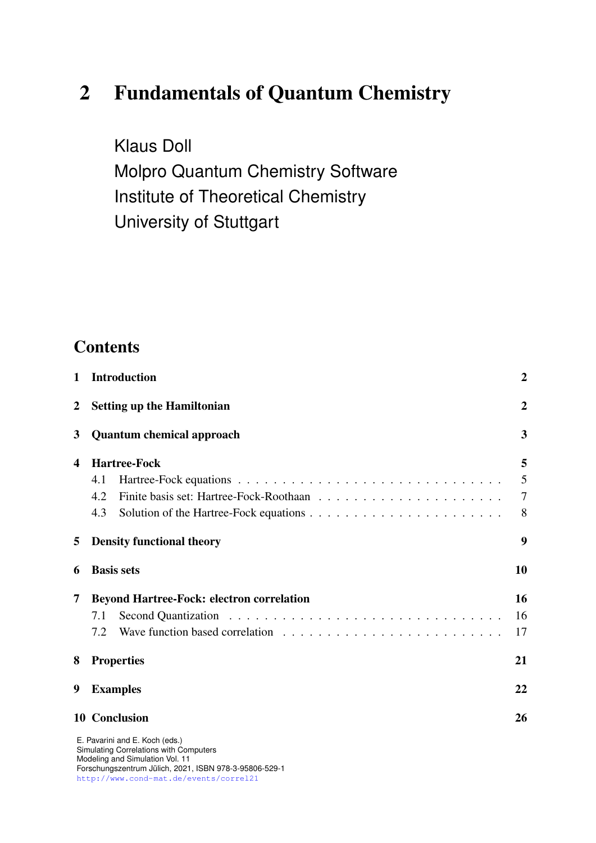# 2 Fundamentals of Quantum Chemistry

Klaus Doll Molpro Quantum Chemistry Software Institute of Theoretical Chemistry University of Stuttgart

# **Contents**

| 1              | <b>Introduction</b>                                                      |    |  |  |  |  |  |
|----------------|--------------------------------------------------------------------------|----|--|--|--|--|--|
| $\overline{2}$ | <b>Setting up the Hamiltonian</b>                                        |    |  |  |  |  |  |
| 3              | <b>Quantum chemical approach</b>                                         |    |  |  |  |  |  |
| 4              | <b>Hartree-Fock</b>                                                      |    |  |  |  |  |  |
|                | 4.1                                                                      | 5  |  |  |  |  |  |
|                | 4.2                                                                      | 7  |  |  |  |  |  |
|                | 4.3                                                                      | 8  |  |  |  |  |  |
| 5              | <b>Density functional theory</b>                                         |    |  |  |  |  |  |
| 6              | <b>Basis sets</b>                                                        | 10 |  |  |  |  |  |
| 7              | <b>Beyond Hartree-Fock: electron correlation</b>                         |    |  |  |  |  |  |
|                | 7.1                                                                      | 16 |  |  |  |  |  |
|                | 7.2                                                                      | 17 |  |  |  |  |  |
| 8              | <b>Properties</b>                                                        |    |  |  |  |  |  |
| 9              | <b>Examples</b>                                                          |    |  |  |  |  |  |
|                | <b>10 Conclusion</b>                                                     | 26 |  |  |  |  |  |
|                | E. Pavarini and E. Koch (eds.)<br>Simulating Correlations with Computers |    |  |  |  |  |  |

Simulating Correlations with Computers Modeling and Simulation Vol. 11 Forschungszentrum Julich, 2021, ISBN 978-3-95806-529-1 ¨ <http://www.cond-mat.de/events/correl21>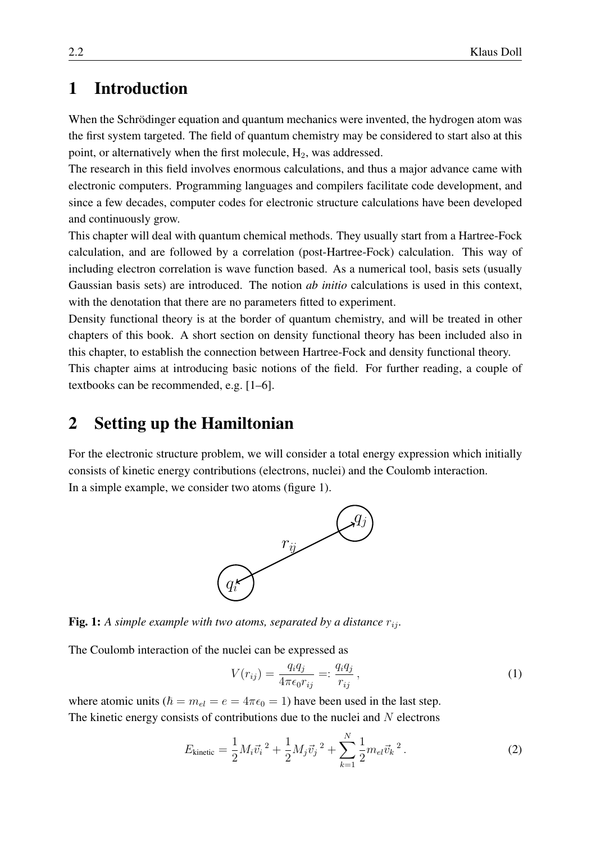## <span id="page-1-0"></span>1 Introduction

When the Schrödinger equation and quantum mechanics were invented, the hydrogen atom was the first system targeted. The field of quantum chemistry may be considered to start also at this point, or alternatively when the first molecule,  $H_2$ , was addressed.

The research in this field involves enormous calculations, and thus a major advance came with electronic computers. Programming languages and compilers facilitate code development, and since a few decades, computer codes for electronic structure calculations have been developed and continuously grow.

This chapter will deal with quantum chemical methods. They usually start from a Hartree-Fock calculation, and are followed by a correlation (post-Hartree-Fock) calculation. This way of including electron correlation is wave function based. As a numerical tool, basis sets (usually Gaussian basis sets) are introduced. The notion *ab initio* calculations is used in this context, with the denotation that there are no parameters fitted to experiment.

Density functional theory is at the border of quantum chemistry, and will be treated in other chapters of this book. A short section on density functional theory has been included also in this chapter, to establish the connection between Hartree-Fock and density functional theory. This chapter aims at introducing basic notions of the field. For further reading, a couple of

textbooks can be recommended, e.g. [\[1–](#page-26-0)[6\]](#page-26-1).

## <span id="page-1-1"></span>2 Setting up the Hamiltonian

For the electronic structure problem, we will consider a total energy expression which initially consists of kinetic energy contributions (electrons, nuclei) and the Coulomb interaction. In a simple example, we consider two atoms (figure [1\)](#page-1-2).



<span id="page-1-2"></span>Fig. 1: A simple example with two atoms, separated by a distance  $r_{ij}$ .

The Coulomb interaction of the nuclei can be expressed as

$$
V(r_{ij}) = \frac{q_i q_j}{4\pi\epsilon_0 r_{ij}} =: \frac{q_i q_j}{r_{ij}},
$$
\n(1)

where atomic units ( $\hbar = m_{el} = e = 4\pi\epsilon_0 = 1$ ) have been used in the last step. The kinetic energy consists of contributions due to the nuclei and  $N$  electrons

$$
E_{\text{kinetic}} = \frac{1}{2} M_i \vec{v}_i^2 + \frac{1}{2} M_j \vec{v}_j^2 + \sum_{k=1}^N \frac{1}{2} m_{el} \vec{v}_k^2.
$$
 (2)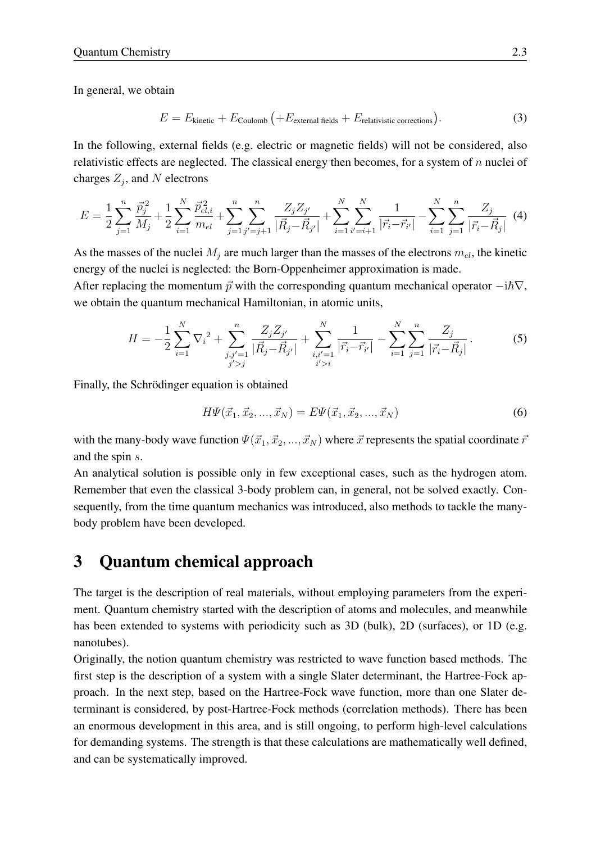In general, we obtain

$$
E = E_{\text{kinetic}} + E_{\text{Coulomb}} \left( + E_{\text{external fields}} + E_{\text{relativistic corrections}} \right). \tag{3}
$$

In the following, external fields (e.g. electric or magnetic fields) will not be considered, also relativistic effects are neglected. The classical energy then becomes, for a system of  $n$  nuclei of charges  $Z_j$ , and N electrons

$$
E = \frac{1}{2} \sum_{j=1}^{n} \frac{\vec{p}_{j}^{2}}{M_{j}} + \frac{1}{2} \sum_{i=1}^{N} \frac{\vec{p}_{el,i}^{2}}{m_{el}} + \sum_{j=1}^{n} \sum_{j'=j+1}^{n} \frac{Z_{j} Z_{j'}}{|\vec{R}_{j} - \vec{R}_{j'}|} + \sum_{i=1}^{N} \sum_{i'=i+1}^{N} \frac{1}{|\vec{r}_{i} - \vec{r}_{i'}|} - \sum_{i=1}^{N} \sum_{j=1}^{n} \frac{Z_{j}}{|\vec{r}_{i} - \vec{R}_{j}|} \tag{4}
$$

As the masses of the nuclei  $M_i$  are much larger than the masses of the electrons  $m_{el}$ , the kinetic energy of the nuclei is neglected: the Born-Oppenheimer approximation is made.

After replacing the momentum  $\vec{p}$  with the corresponding quantum mechanical operator  $-i\hbar\nabla$ , we obtain the quantum mechanical Hamiltonian, in atomic units,

$$
H = -\frac{1}{2} \sum_{i=1}^{N} \nabla_i^2 + \sum_{\substack{j,j'=1 \ j' > j}}^{n} \frac{Z_j Z_{j'}}{|\vec{R}_j - \vec{R}_{j'}|} + \sum_{\substack{i,i'=1 \ i' > i}}^{N} \frac{1}{|\vec{r}_i - \vec{r}_{i'}|} - \sum_{i=1}^{N} \sum_{j=1}^{n} \frac{Z_j}{|\vec{r}_i - \vec{R}_j|}.
$$
 (5)

Finally, the Schrödinger equation is obtained

$$
H\Psi(\vec{x}_1, \vec{x}_2, ..., \vec{x}_N) = E\Psi(\vec{x}_1, \vec{x}_2, ..., \vec{x}_N)
$$
\n(6)

with the many-body wave function  $\Psi(\vec{x}_1, \vec{x}_2, ..., \vec{x}_N)$  where  $\vec{x}$  represents the spatial coordinate  $\vec{r}$ and the spin s.

An analytical solution is possible only in few exceptional cases, such as the hydrogen atom. Remember that even the classical 3-body problem can, in general, not be solved exactly. Consequently, from the time quantum mechanics was introduced, also methods to tackle the manybody problem have been developed.

## <span id="page-2-0"></span>3 Quantum chemical approach

The target is the description of real materials, without employing parameters from the experiment. Quantum chemistry started with the description of atoms and molecules, and meanwhile has been extended to systems with periodicity such as 3D (bulk), 2D (surfaces), or 1D (e.g. nanotubes).

Originally, the notion quantum chemistry was restricted to wave function based methods. The first step is the description of a system with a single Slater determinant, the Hartree-Fock approach. In the next step, based on the Hartree-Fock wave function, more than one Slater determinant is considered, by post-Hartree-Fock methods (correlation methods). There has been an enormous development in this area, and is still ongoing, to perform high-level calculations for demanding systems. The strength is that these calculations are mathematically well defined, and can be systematically improved.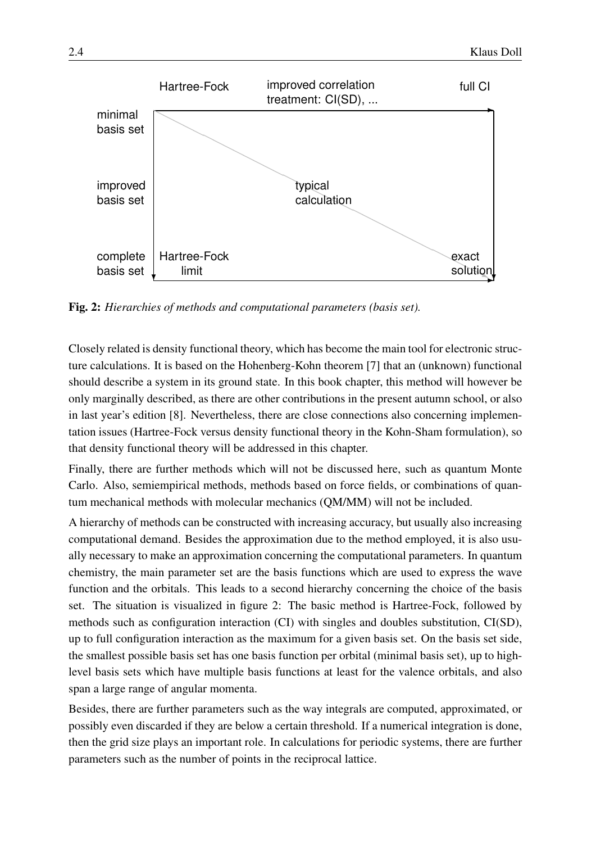

<span id="page-3-0"></span>Fig. 2: *Hierarchies of methods and computational parameters (basis set).*

Closely related is density functional theory, which has become the main tool for electronic structure calculations. It is based on the Hohenberg-Kohn theorem [\[7\]](#page-26-2) that an (unknown) functional should describe a system in its ground state. In this book chapter, this method will however be only marginally described, as there are other contributions in the present autumn school, or also in last year's edition [\[8\]](#page-26-3). Nevertheless, there are close connections also concerning implementation issues (Hartree-Fock versus density functional theory in the Kohn-Sham formulation), so that density functional theory will be addressed in this chapter.

Finally, there are further methods which will not be discussed here, such as quantum Monte Carlo. Also, semiempirical methods, methods based on force fields, or combinations of quantum mechanical methods with molecular mechanics (QM/MM) will not be included.

A hierarchy of methods can be constructed with increasing accuracy, but usually also increasing computational demand. Besides the approximation due to the method employed, it is also usually necessary to make an approximation concerning the computational parameters. In quantum chemistry, the main parameter set are the basis functions which are used to express the wave function and the orbitals. This leads to a second hierarchy concerning the choice of the basis set. The situation is visualized in figure [2:](#page-3-0) The basic method is Hartree-Fock, followed by methods such as configuration interaction (CI) with singles and doubles substitution, CI(SD), up to full configuration interaction as the maximum for a given basis set. On the basis set side, the smallest possible basis set has one basis function per orbital (minimal basis set), up to highlevel basis sets which have multiple basis functions at least for the valence orbitals, and also span a large range of angular momenta.

Besides, there are further parameters such as the way integrals are computed, approximated, or possibly even discarded if they are below a certain threshold. If a numerical integration is done, then the grid size plays an important role. In calculations for periodic systems, there are further parameters such as the number of points in the reciprocal lattice.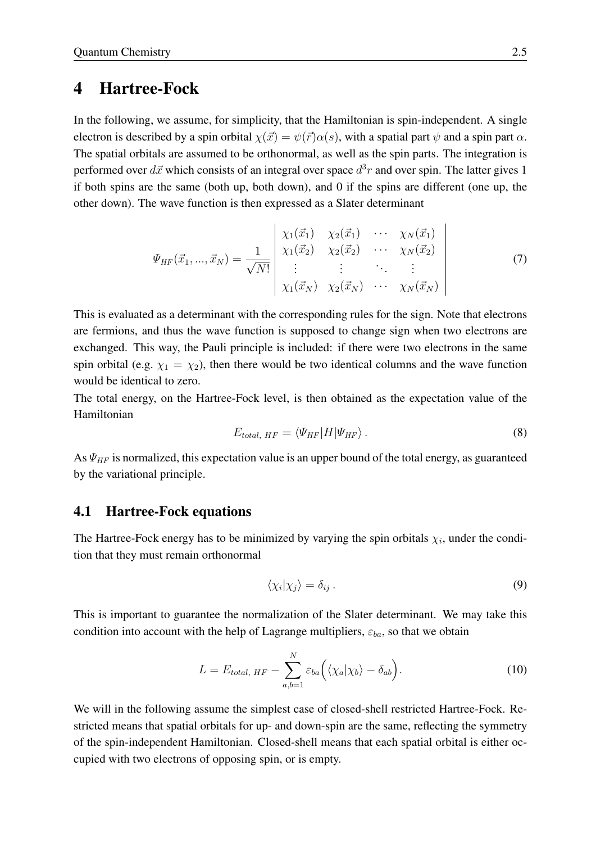### <span id="page-4-0"></span>4 Hartree-Fock

In the following, we assume, for simplicity, that the Hamiltonian is spin-independent. A single electron is described by a spin orbital  $\chi(\vec{x}) = \psi(\vec{r})\alpha(s)$ , with a spatial part  $\psi$  and a spin part  $\alpha$ . The spatial orbitals are assumed to be orthonormal, as well as the spin parts. The integration is performed over  $d\vec{x}$  which consists of an integral over space  $d^3r$  and over spin. The latter gives 1 if both spins are the same (both up, both down), and 0 if the spins are different (one up, the other down). The wave function is then expressed as a Slater determinant

<span id="page-4-3"></span>
$$
\Psi_{HF}(\vec{x}_1, ..., \vec{x}_N) = \frac{1}{\sqrt{N!}} \begin{vmatrix} \chi_1(\vec{x}_1) & \chi_2(\vec{x}_1) & \cdots & \chi_N(\vec{x}_1) \\ \chi_1(\vec{x}_2) & \chi_2(\vec{x}_2) & \cdots & \chi_N(\vec{x}_2) \\ \vdots & \vdots & \ddots & \vdots \\ \chi_1(\vec{x}_N) & \chi_2(\vec{x}_N) & \cdots & \chi_N(\vec{x}_N) \end{vmatrix}
$$
\n(7)

This is evaluated as a determinant with the corresponding rules for the sign. Note that electrons are fermions, and thus the wave function is supposed to change sign when two electrons are exchanged. This way, the Pauli principle is included: if there were two electrons in the same spin orbital (e.g.  $\chi_1 = \chi_2$ ), then there would be two identical columns and the wave function would be identical to zero.

The total energy, on the Hartree-Fock level, is then obtained as the expectation value of the Hamiltonian

$$
E_{total, HF} = \langle \Psi_{HF} | H | \Psi_{HF} \rangle. \tag{8}
$$

As  $\Psi_{HF}$  is normalized, this expectation value is an upper bound of the total energy, as guaranteed by the variational principle.

#### <span id="page-4-1"></span>4.1 Hartree-Fock equations

The Hartree-Fock energy has to be minimized by varying the spin orbitals  $\chi_i$ , under the condition that they must remain orthonormal

$$
\langle \chi_i | \chi_j \rangle = \delta_{ij} \,. \tag{9}
$$

This is important to guarantee the normalization of the Slater determinant. We may take this condition into account with the help of Lagrange multipliers,  $\varepsilon_{ba}$ , so that we obtain

<span id="page-4-2"></span>
$$
L = E_{total, HF} - \sum_{a,b=1}^{N} \varepsilon_{ba} (\langle \chi_a | \chi_b \rangle - \delta_{ab}). \tag{10}
$$

We will in the following assume the simplest case of closed-shell restricted Hartree-Fock. Restricted means that spatial orbitals for up- and down-spin are the same, reflecting the symmetry of the spin-independent Hamiltonian. Closed-shell means that each spatial orbital is either occupied with two electrons of opposing spin, or is empty.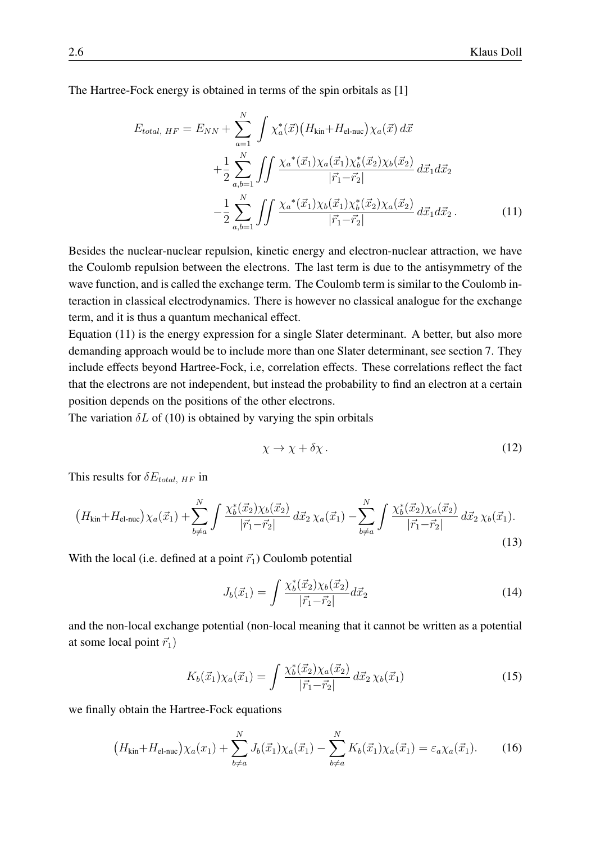The Hartree-Fock energy is obtained in terms of the spin orbitals as [\[1\]](#page-26-0)

$$
E_{total, HF} = E_{NN} + \sum_{a=1}^{N} \int \chi_a^*(\vec{x}) \left( H_{kin} + H_{el-nuc} \right) \chi_a(\vec{x}) d\vec{x} + \frac{1}{2} \sum_{a,b=1}^{N} \int \int \frac{\chi_a^*(\vec{x}_1) \chi_a(\vec{x}_1) \chi_b^*(\vec{x}_2) \chi_b(\vec{x}_2)}{|\vec{r}_1 - \vec{r}_2|} d\vec{x}_1 d\vec{x}_2 - \frac{1}{2} \sum_{a,b=1}^{N} \int \int \frac{\chi_a^*(\vec{x}_1) \chi_b(\vec{x}_1) \chi_b^*(\vec{x}_2) \chi_a(\vec{x}_2)}{|\vec{r}_1 - \vec{r}_2|} d\vec{x}_1 d\vec{x}_2.
$$
 (11)

Besides the nuclear-nuclear repulsion, kinetic energy and electron-nuclear attraction, we have the Coulomb repulsion between the electrons. The last term is due to the antisymmetry of the wave function, and is called the exchange term. The Coulomb term is similar to the Coulomb interaction in classical electrodynamics. There is however no classical analogue for the exchange term, and it is thus a quantum mechanical effect.

Equation [\(11\)](#page-5-0) is the energy expression for a single Slater determinant. A better, but also more demanding approach would be to include more than one Slater determinant, see section [7.](#page-15-0) They include effects beyond Hartree-Fock, i.e, correlation effects. These correlations reflect the fact that the electrons are not independent, but instead the probability to find an electron at a certain position depends on the positions of the other electrons.

The variation  $\delta L$  of [\(10\)](#page-4-2) is obtained by varying the spin orbitals

<span id="page-5-0"></span>
$$
\chi \to \chi + \delta \chi \,. \tag{12}
$$

This results for  $\delta E_{total, HF}$  in

$$
(H_{\text{kin}} + H_{\text{el-nuc}}) \chi_a(\vec{x}_1) + \sum_{b \neq a}^{N} \int \frac{\chi_b^*(\vec{x}_2) \chi_b(\vec{x}_2)}{|\vec{r}_1 - \vec{r}_2|} d\vec{x}_2 \chi_a(\vec{x}_1) - \sum_{b \neq a}^{N} \int \frac{\chi_b^*(\vec{x}_2) \chi_a(\vec{x}_2)}{|\vec{r}_1 - \vec{r}_2|} d\vec{x}_2 \chi_b(\vec{x}_1).
$$
\n(13)

With the local (i.e. defined at a point  $\vec{r_1}$ ) Coulomb potential

$$
J_b(\vec{x}_1) = \int \frac{\chi_b^*(\vec{x}_2) \chi_b(\vec{x}_2)}{|\vec{r}_1 - \vec{r}_2|} d\vec{x}_2 \tag{14}
$$

and the non-local exchange potential (non-local meaning that it cannot be written as a potential at some local point  $\vec{r}_1$ )

<span id="page-5-1"></span>
$$
K_b(\vec{x}_1)\chi_a(\vec{x}_1) = \int \frac{\chi_b^*(\vec{x}_2)\chi_a(\vec{x}_2)}{|\vec{r}_1 - \vec{r}_2|} d\vec{x}_2 \,\chi_b(\vec{x}_1) \tag{15}
$$

we finally obtain the Hartree-Fock equations

$$
(H_{\text{kin}} + H_{\text{el-nuc}}) \chi_a(x_1) + \sum_{b \neq a}^{N} J_b(\vec{x}_1) \chi_a(\vec{x}_1) - \sum_{b \neq a}^{N} K_b(\vec{x}_1) \chi_a(\vec{x}_1) = \varepsilon_a \chi_a(\vec{x}_1). \tag{16}
$$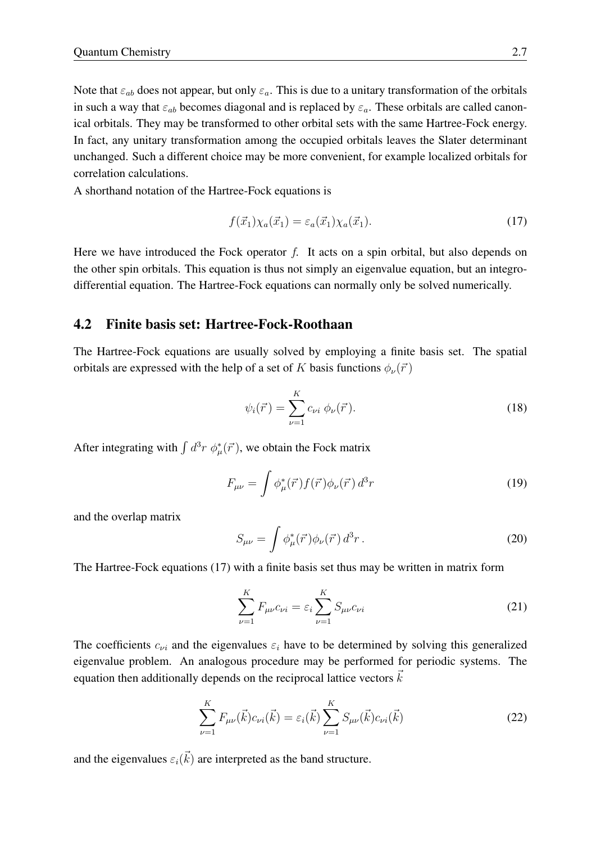Note that  $\varepsilon_{ab}$  does not appear, but only  $\varepsilon_a$ . This is due to a unitary transformation of the orbitals in such a way that  $\varepsilon_{ab}$  becomes diagonal and is replaced by  $\varepsilon_a$ . These orbitals are called canonical orbitals. They may be transformed to other orbital sets with the same Hartree-Fock energy. In fact, any unitary transformation among the occupied orbitals leaves the Slater determinant unchanged. Such a different choice may be more convenient, for example localized orbitals for correlation calculations.

A shorthand notation of the Hartree-Fock equations is

<span id="page-6-1"></span>
$$
f(\vec{x}_1)\chi_a(\vec{x}_1) = \varepsilon_a(\vec{x}_1)\chi_a(\vec{x}_1). \tag{17}
$$

Here we have introduced the Fock operator  $f$ . It acts on a spin orbital, but also depends on the other spin orbitals. This equation is thus not simply an eigenvalue equation, but an integrodifferential equation. The Hartree-Fock equations can normally only be solved numerically.

### <span id="page-6-0"></span>4.2 Finite basis set: Hartree-Fock-Roothaan

The Hartree-Fock equations are usually solved by employing a finite basis set. The spatial orbitals are expressed with the help of a set of K basis functions  $\phi_{\nu}(\vec{r})$ 

<span id="page-6-4"></span>
$$
\psi_i(\vec{r}) = \sum_{\nu=1}^K c_{\nu i} \, \phi_{\nu}(\vec{r}). \tag{18}
$$

After integrating with  $\int d^3r \phi^*_{\mu}(\vec{r})$ , we obtain the Fock matrix

$$
F_{\mu\nu} = \int \phi_{\mu}^{*}(\vec{r}) f(\vec{r}) \phi_{\nu}(\vec{r}) d^{3}r
$$
 (19)

and the overlap matrix

$$
S_{\mu\nu} = \int \phi_{\mu}^*(\vec{r}) \phi_{\nu}(\vec{r}) d^3 r \,. \tag{20}
$$

The Hartree-Fock equations [\(17\)](#page-6-1) with a finite basis set thus may be written in matrix form

<span id="page-6-2"></span>
$$
\sum_{\nu=1}^{K} F_{\mu\nu} c_{\nu i} = \varepsilon_i \sum_{\nu=1}^{K} S_{\mu\nu} c_{\nu i}
$$
 (21)

The coefficients  $c_{\nu i}$  and the eigenvalues  $\varepsilon_i$  have to be determined by solving this generalized eigenvalue problem. An analogous procedure may be performed for periodic systems. The equation then additionally depends on the reciprocal lattice vectors  $k$ 

<span id="page-6-3"></span>
$$
\sum_{\nu=1}^{K} F_{\mu\nu}(\vec{k}) c_{\nu i}(\vec{k}) = \varepsilon_i(\vec{k}) \sum_{\nu=1}^{K} S_{\mu\nu}(\vec{k}) c_{\nu i}(\vec{k})
$$
 (22)

and the eigenvalues  $\varepsilon_i(\vec{k})$  are interpreted as the band structure.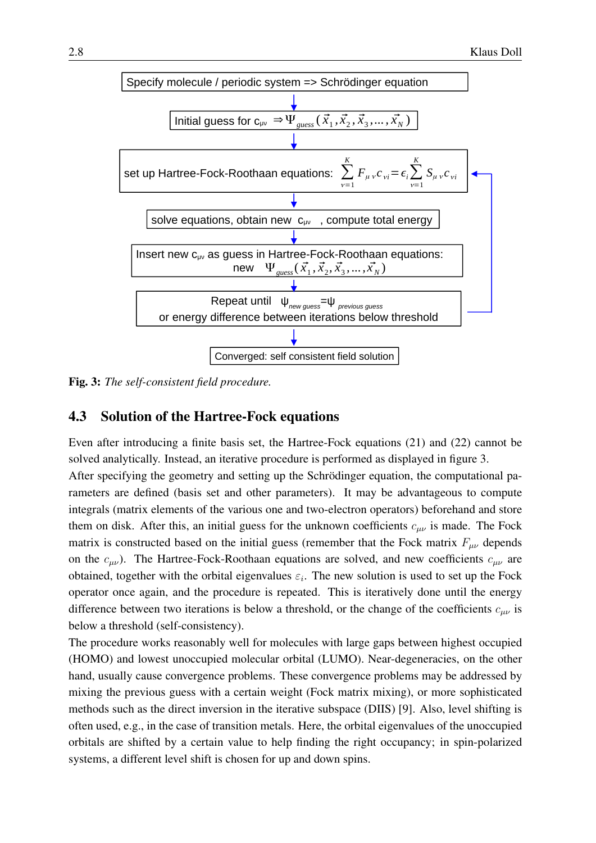

<span id="page-7-1"></span>Fig. 3: *The self-consistent field procedure.*

### <span id="page-7-0"></span>4.3 Solution of the Hartree-Fock equations

Even after introducing a finite basis set, the Hartree-Fock equations [\(21\)](#page-6-2) and [\(22\)](#page-6-3) cannot be solved analytically. Instead, an iterative procedure is performed as displayed in figure [3.](#page-7-1) After specifying the geometry and setting up the Schrödinger equation, the computational parameters are defined (basis set and other parameters). It may be advantageous to compute integrals (matrix elements of the various one and two-electron operators) beforehand and store them on disk. After this, an initial guess for the unknown coefficients  $c_{\mu\nu}$  is made. The Fock matrix is constructed based on the initial guess (remember that the Fock matrix  $F_{\mu\nu}$  depends on the  $c_{\mu\nu}$ ). The Hartree-Fock-Roothaan equations are solved, and new coefficients  $c_{\mu\nu}$  are obtained, together with the orbital eigenvalues  $\varepsilon_i$ . The new solution is used to set up the Fock operator once again, and the procedure is repeated. This is iteratively done until the energy difference between two iterations is below a threshold, or the change of the coefficients  $c_{\mu\nu}$  is below a threshold (self-consistency).

The procedure works reasonably well for molecules with large gaps between highest occupied (HOMO) and lowest unoccupied molecular orbital (LUMO). Near-degeneracies, on the other hand, usually cause convergence problems. These convergence problems may be addressed by mixing the previous guess with a certain weight (Fock matrix mixing), or more sophisticated methods such as the direct inversion in the iterative subspace (DIIS) [\[9\]](#page-26-4). Also, level shifting is often used, e.g., in the case of transition metals. Here, the orbital eigenvalues of the unoccupied orbitals are shifted by a certain value to help finding the right occupancy; in spin-polarized systems, a different level shift is chosen for up and down spins.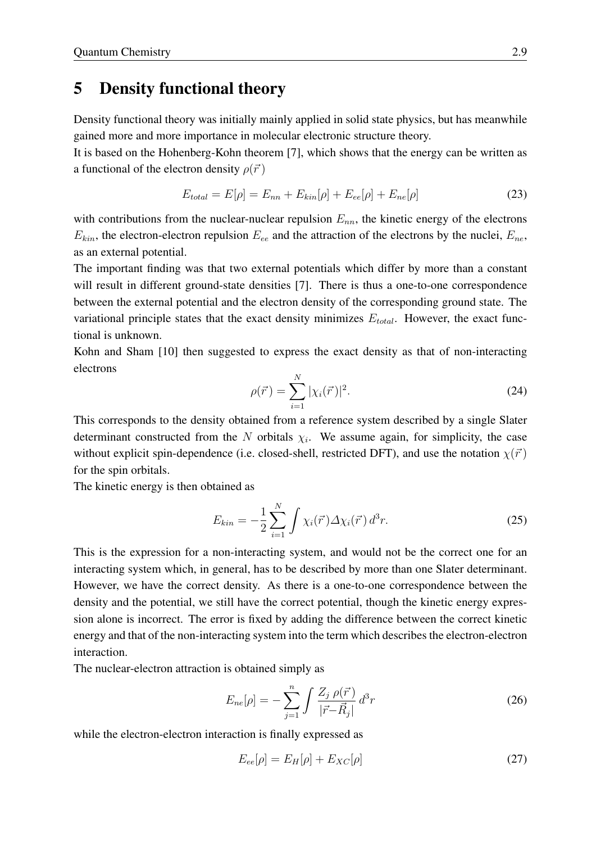## <span id="page-8-0"></span>5 Density functional theory

Density functional theory was initially mainly applied in solid state physics, but has meanwhile gained more and more importance in molecular electronic structure theory.

It is based on the Hohenberg-Kohn theorem [\[7\]](#page-26-2), which shows that the energy can be written as a functional of the electron density  $\rho(\vec{r})$ 

$$
E_{total} = E[\rho] = E_{nn} + E_{kin}[\rho] + E_{ee}[\rho] + E_{ne}[\rho]
$$
\n(23)

with contributions from the nuclear-nuclear repulsion  $E_{nn}$ , the kinetic energy of the electrons  $E_{kin}$ , the electron-electron repulsion  $E_{ee}$  and the attraction of the electrons by the nuclei,  $E_{ne}$ , as an external potential.

The important finding was that two external potentials which differ by more than a constant will result in different ground-state densities [\[7\]](#page-26-2). There is thus a one-to-one correspondence between the external potential and the electron density of the corresponding ground state. The variational principle states that the exact density minimizes  $E_{total}$ . However, the exact functional is unknown.

Kohn and Sham [\[10\]](#page-26-5) then suggested to express the exact density as that of non-interacting electrons

$$
\rho(\vec{r}) = \sum_{i=1}^{N} |\chi_i(\vec{r})|^2.
$$
\n(24)

This corresponds to the density obtained from a reference system described by a single Slater determinant constructed from the N orbitals  $\chi_i$ . We assume again, for simplicity, the case without explicit spin-dependence (i.e. closed-shell, restricted DFT), and use the notation  $\chi(\vec{r})$ for the spin orbitals.

The kinetic energy is then obtained as

$$
E_{kin} = -\frac{1}{2} \sum_{i=1}^{N} \int \chi_i(\vec{r}) \Delta \chi_i(\vec{r}) d^3 r.
$$
 (25)

This is the expression for a non-interacting system, and would not be the correct one for an interacting system which, in general, has to be described by more than one Slater determinant. However, we have the correct density. As there is a one-to-one correspondence between the density and the potential, we still have the correct potential, though the kinetic energy expression alone is incorrect. The error is fixed by adding the difference between the correct kinetic energy and that of the non-interacting system into the term which describes the electron-electron interaction.

The nuclear-electron attraction is obtained simply as

$$
E_{ne}[\rho] = -\sum_{j=1}^{n} \int \frac{Z_j \rho(\vec{r})}{|\vec{r} - \vec{R}_j|} d^3r
$$
 (26)

while the electron-electron interaction is finally expressed as

$$
E_{ee}[\rho] = E_H[\rho] + E_{XC}[\rho] \tag{27}
$$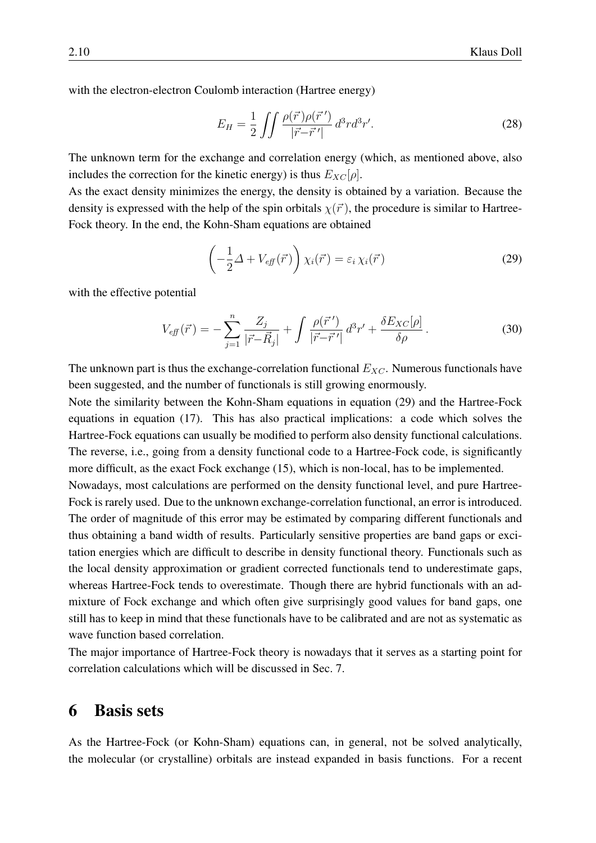with the electron-electron Coulomb interaction (Hartree energy)

$$
E_H = \frac{1}{2} \iint \frac{\rho(\vec{r})\rho(\vec{r}')}{|\vec{r} - \vec{r}'|} d^3r d^3r'.
$$
 (28)

The unknown term for the exchange and correlation energy (which, as mentioned above, also includes the correction for the kinetic energy) is thus  $E_{XC}[\rho]$ .

As the exact density minimizes the energy, the density is obtained by a variation. Because the density is expressed with the help of the spin orbitals  $\chi(\vec{r})$ , the procedure is similar to Hartree-Fock theory. In the end, the Kohn-Sham equations are obtained

<span id="page-9-1"></span>
$$
\left(-\frac{1}{2}\Delta + V_{\text{eff}}(\vec{r})\right)\chi_i(\vec{r}) = \varepsilon_i\,\chi_i(\vec{r})\tag{29}
$$

with the effective potential

$$
V_{\text{eff}}(\vec{r}) = -\sum_{j=1}^{n} \frac{Z_j}{|\vec{r} - \vec{R}_j|} + \int \frac{\rho(\vec{r}')}{|\vec{r} - \vec{r}'|} d^3 r' + \frac{\delta E_{XC}[\rho]}{\delta \rho}.
$$
 (30)

The unknown part is thus the exchange-correlation functional  $E_{XC}$ . Numerous functionals have been suggested, and the number of functionals is still growing enormously.

Note the similarity between the Kohn-Sham equations in equation [\(29\)](#page-9-1) and the Hartree-Fock equations in equation [\(17\)](#page-6-1). This has also practical implications: a code which solves the Hartree-Fock equations can usually be modified to perform also density functional calculations. The reverse, i.e., going from a density functional code to a Hartree-Fock code, is significantly more difficult, as the exact Fock exchange [\(15\)](#page-5-1), which is non-local, has to be implemented.

Nowadays, most calculations are performed on the density functional level, and pure Hartree-Fock is rarely used. Due to the unknown exchange-correlation functional, an error is introduced. The order of magnitude of this error may be estimated by comparing different functionals and thus obtaining a band width of results. Particularly sensitive properties are band gaps or excitation energies which are difficult to describe in density functional theory. Functionals such as the local density approximation or gradient corrected functionals tend to underestimate gaps, whereas Hartree-Fock tends to overestimate. Though there are hybrid functionals with an admixture of Fock exchange and which often give surprisingly good values for band gaps, one still has to keep in mind that these functionals have to be calibrated and are not as systematic as wave function based correlation.

The major importance of Hartree-Fock theory is nowadays that it serves as a starting point for correlation calculations which will be discussed in Sec. [7.](#page-15-0)

## <span id="page-9-0"></span>6 Basis sets

As the Hartree-Fock (or Kohn-Sham) equations can, in general, not be solved analytically, the molecular (or crystalline) orbitals are instead expanded in basis functions. For a recent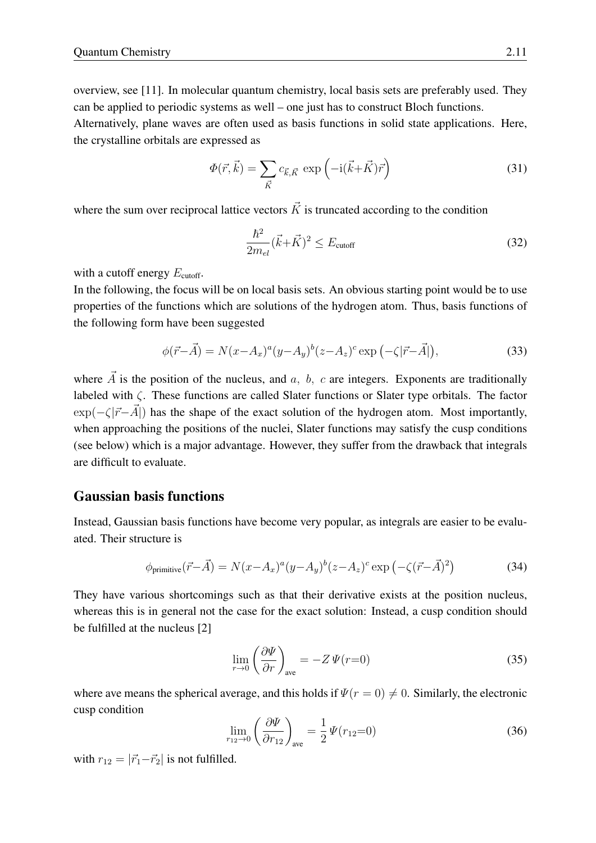overview, see [\[11\]](#page-26-6). In molecular quantum chemistry, local basis sets are preferably used. They can be applied to periodic systems as well – one just has to construct Bloch functions.

Alternatively, plane waves are often used as basis functions in solid state applications. Here, the crystalline orbitals are expressed as

$$
\Phi(\vec{r}, \vec{k}) = \sum_{\vec{K}} c_{\vec{k}, \vec{K}} \exp\left(-i(\vec{k} + \vec{K})\vec{r}\right)
$$
(31)

where the sum over reciprocal lattice vectors  $\vec{K}$  is truncated according to the condition

$$
\frac{\hbar^2}{2m_{el}}(\vec{k} + \vec{K})^2 \le E_{\text{cutoff}} \tag{32}
$$

with a cutoff energy  $E_{\text{cutoff}}$ .

In the following, the focus will be on local basis sets. An obvious starting point would be to use properties of the functions which are solutions of the hydrogen atom. Thus, basis functions of the following form have been suggested

$$
\phi(\vec{r} - \vec{A}) = N(x - A_x)^a (y - A_y)^b (z - A_z)^c \exp\left(-\zeta |\vec{r} - \vec{A}|\right),\tag{33}
$$

where  $\vec{A}$  is the position of the nucleus, and  $\vec{a}$ ,  $\vec{b}$ ,  $\vec{c}$  are integers. Exponents are traditionally labeled with ζ. These functions are called Slater functions or Slater type orbitals. The factor  $\exp(-\zeta|\vec{r}-\vec{A}|)$  has the shape of the exact solution of the hydrogen atom. Most importantly, when approaching the positions of the nuclei, Slater functions may satisfy the cusp conditions (see below) which is a major advantage. However, they suffer from the drawback that integrals are difficult to evaluate.

#### Gaussian basis functions

Instead, Gaussian basis functions have become very popular, as integrals are easier to be evaluated. Their structure is

$$
\phi_{\text{primitive}}(\vec{r} - \vec{A}) = N(x - A_x)^a (y - A_y)^b (z - A_z)^c \exp\left(-\zeta(\vec{r} - \vec{A})^2\right) \tag{34}
$$

They have various shortcomings such as that their derivative exists at the position nucleus, whereas this is in general not the case for the exact solution: Instead, a cusp condition should be fulfilled at the nucleus [\[2\]](#page-26-7)

$$
\lim_{r \to 0} \left( \frac{\partial \Psi}{\partial r} \right)_{\text{ave}} = -Z \Psi(r=0) \tag{35}
$$

where ave means the spherical average, and this holds if  $\Psi(r=0) \neq 0$ . Similarly, the electronic cusp condition

<span id="page-10-0"></span>
$$
\lim_{r_{12}\to 0} \left(\frac{\partial \Psi}{\partial r_{12}}\right)_{\text{ave}} = \frac{1}{2} \Psi(r_{12}=0) \tag{36}
$$

with  $r_{12} = |\vec{r}_1 - \vec{r}_2|$  is not fulfilled.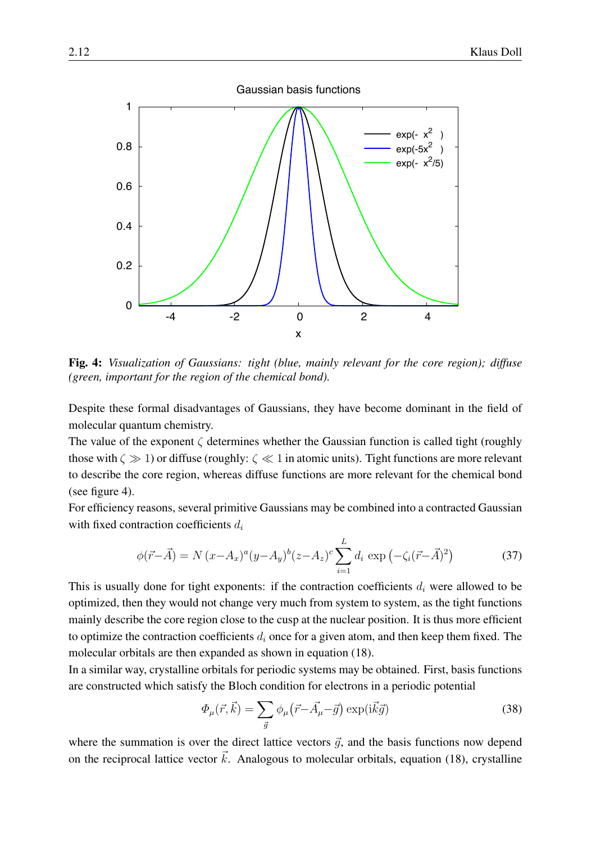

<span id="page-11-0"></span>Fig. 4: *Visualization of Gaussians: tight (blue, mainly relevant for the core region); diffuse (green, important for the region of the chemical bond).*

Despite these formal disadvantages of Gaussians, they have become dominant in the field of molecular quantum chemistry.

The value of the exponent  $\zeta$  determines whether the Gaussian function is called tight (roughly those with  $\zeta \gg 1$ ) or diffuse (roughly:  $\zeta \ll 1$  in atomic units). Tight functions are more relevant to describe the core region, whereas diffuse functions are more relevant for the chemical bond (see figure [4\)](#page-11-0).

For efficiency reasons, several primitive Gaussians may be combined into a contracted Gaussian with fixed contraction coefficients  $d_i$ 

$$
\phi(\vec{r} - \vec{A}) = N (x - A_x)^a (y - A_y)^b (z - A_z)^c \sum_{i=1}^L d_i \exp(-\zeta_i (\vec{r} - \vec{A})^2)
$$
(37)

This is usually done for tight exponents: if the contraction coefficients  $d_i$  were allowed to be optimized, then they would not change very much from system to system, as the tight functions mainly describe the core region close to the cusp at the nuclear position. It is thus more efficient to optimize the contraction coefficients  $d_i$  once for a given atom, and then keep them fixed. The molecular orbitals are then expanded as shown in equation [\(18\)](#page-6-4).

In a similar way, crystalline orbitals for periodic systems may be obtained. First, basis functions are constructed which satisfy the Bloch condition for electrons in a periodic potential

$$
\Phi_{\mu}(\vec{r}, \vec{k}) = \sum_{\vec{g}} \phi_{\mu}(\vec{r} - \vec{A}_{\mu} - \vec{g}) \exp(i\vec{k}\vec{g}) \tag{38}
$$

where the summation is over the direct lattice vectors  $\vec{g}$ , and the basis functions now depend on the reciprocal lattice vector  $\vec{k}$ . Analogous to molecular orbitals, equation [\(18\)](#page-6-4), crystalline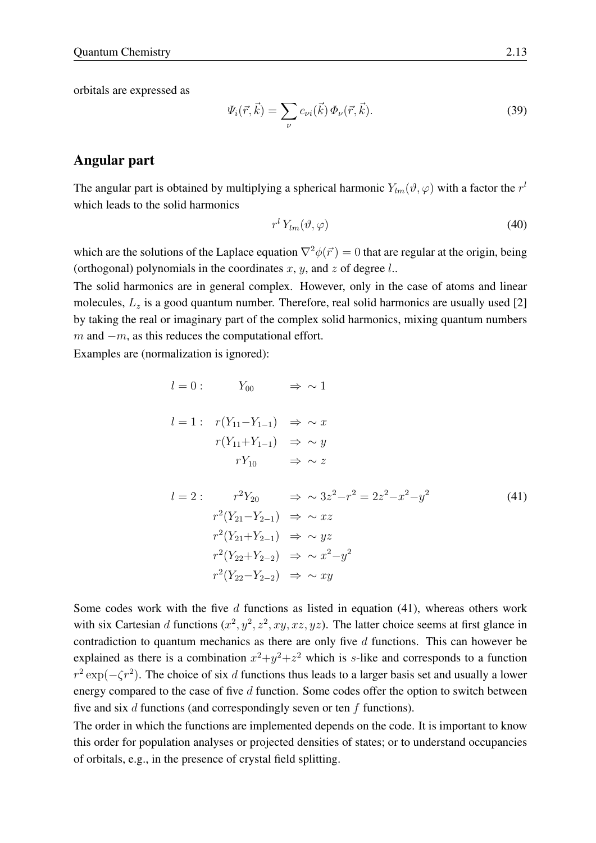orbitals are expressed as

$$
\Psi_i(\vec{r}, \vec{k}) = \sum_{\nu} c_{\nu i}(\vec{k}) \Phi_{\nu}(\vec{r}, \vec{k}). \tag{39}
$$

### Angular part

The angular part is obtained by multiplying a spherical harmonic  $Y_{lm}(\vartheta,\varphi)$  with a factor the  $r^l$ which leads to the solid harmonics

$$
r^l Y_{lm}(\vartheta,\varphi) \tag{40}
$$

which are the solutions of the Laplace equation  $\nabla^2 \phi(\vec{r}) = 0$  that are regular at the origin, being (orthogonal) polynomials in the coordinates  $x, y$ , and  $z$  of degree  $l$ ...

The solid harmonics are in general complex. However, only in the case of atoms and linear molecules,  $L_z$  is a good quantum number. Therefore, real solid harmonics are usually used [\[2\]](#page-26-7) by taking the real or imaginary part of the complex solid harmonics, mixing quantum numbers m and  $-m$ , as this reduces the computational effort.

Examples are (normalization is ignored):

<span id="page-12-0"></span>
$$
l = 0: \t Y_{00} \Rightarrow \sim 1
$$
  
\n
$$
l = 1: \t r(Y_{11} - Y_{1-1}) \Rightarrow \sim x
$$
  
\n
$$
r(Y_{11} + Y_{1-1}) \Rightarrow \sim y
$$
  
\n
$$
rY_{10} \Rightarrow \sim z
$$
  
\n
$$
l = 2: \t r^2 Y_{20} \Rightarrow \sim 3z^2 - r^2 = 2z^2 - x^2 - y^2
$$
  
\n
$$
r^2 (Y_{21} - Y_{2-1}) \Rightarrow \sim xz
$$
  
\n(41)

$$
r^{2}(Y_{21}+Y_{2-1}) \Rightarrow \sim yz
$$
  

$$
r^{2}(Y_{22}+Y_{2-2}) \Rightarrow \sim x^{2}-y^{2}
$$
  

$$
r^{2}(Y_{22}-Y_{2-2}) \Rightarrow \sim xy
$$

Some codes work with the five  $d$  functions as listed in equation [\(41\)](#page-12-0), whereas others work with six Cartesian d functions  $(x^2, y^2, z^2, xy, xz, yz)$ . The latter choice seems at first glance in contradiction to quantum mechanics as there are only five  $d$  functions. This can however be explained as there is a combination  $x^2+y^2+z^2$  which is s-like and corresponds to a function  $r^2 \exp(-\zeta r^2)$ . The choice of six d functions thus leads to a larger basis set and usually a lower energy compared to the case of five  $d$  function. Some codes offer the option to switch between five and six  $d$  functions (and correspondingly seven or ten  $f$  functions).

The order in which the functions are implemented depends on the code. It is important to know this order for population analyses or projected densities of states; or to understand occupancies of orbitals, e.g., in the presence of crystal field splitting.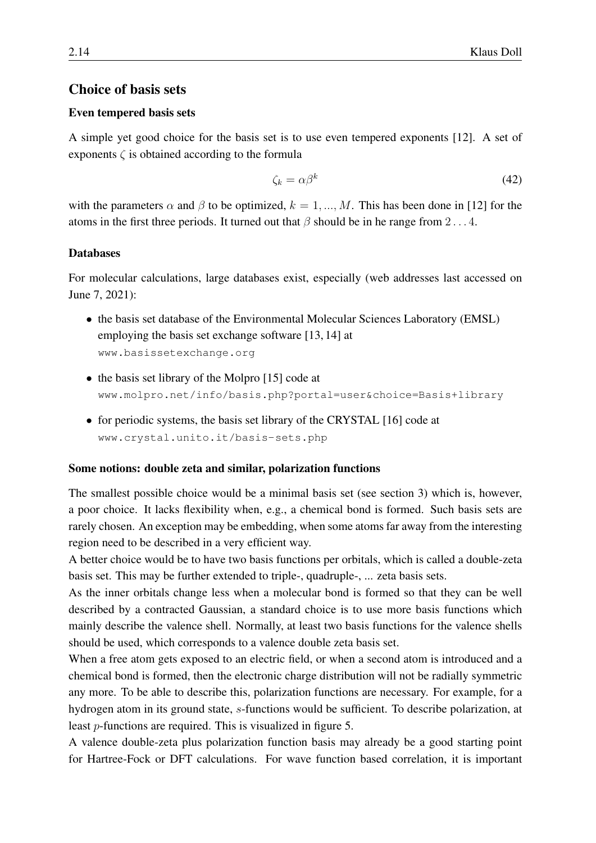### Choice of basis sets

#### Even tempered basis sets

A simple yet good choice for the basis set is to use even tempered exponents [\[12\]](#page-26-8). A set of exponents  $\zeta$  is obtained according to the formula

$$
\zeta_k = \alpha \beta^k \tag{42}
$$

with the parameters  $\alpha$  and  $\beta$  to be optimized,  $k = 1, ..., M$ . This has been done in [\[12\]](#page-26-8) for the atoms in the first three periods. It turned out that  $\beta$  should be in he range from 2...4.

#### **Databases**

For molecular calculations, large databases exist, especially (web addresses last accessed on June 7, 2021):

- the basis set database of the Environmental Molecular Sciences Laboratory (EMSL) employing the basis set exchange software [\[13,](#page-26-9) [14\]](#page-26-10) at <www.basissetexchange.org>
- the basis set library of the Molpro [\[15\]](#page-26-11) code at <www.molpro.net/info/basis.php?portal=user&choice=Basis+library>
- for periodic systems, the basis set library of the CRYSTAL [\[16\]](#page-26-12) code at <www.crystal.unito.it/basis-sets.php>

#### Some notions: double zeta and similar, polarization functions

The smallest possible choice would be a minimal basis set (see section [3\)](#page-2-0) which is, however, a poor choice. It lacks flexibility when, e.g., a chemical bond is formed. Such basis sets are rarely chosen. An exception may be embedding, when some atoms far away from the interesting region need to be described in a very efficient way.

A better choice would be to have two basis functions per orbitals, which is called a double-zeta basis set. This may be further extended to triple-, quadruple-, ... zeta basis sets.

As the inner orbitals change less when a molecular bond is formed so that they can be well described by a contracted Gaussian, a standard choice is to use more basis functions which mainly describe the valence shell. Normally, at least two basis functions for the valence shells should be used, which corresponds to a valence double zeta basis set.

When a free atom gets exposed to an electric field, or when a second atom is introduced and a chemical bond is formed, then the electronic charge distribution will not be radially symmetric any more. To be able to describe this, polarization functions are necessary. For example, for a hydrogen atom in its ground state, s-functions would be sufficient. To describe polarization, at least p-functions are required. This is visualized in figure [5.](#page-14-0)

A valence double-zeta plus polarization function basis may already be a good starting point for Hartree-Fock or DFT calculations. For wave function based correlation, it is important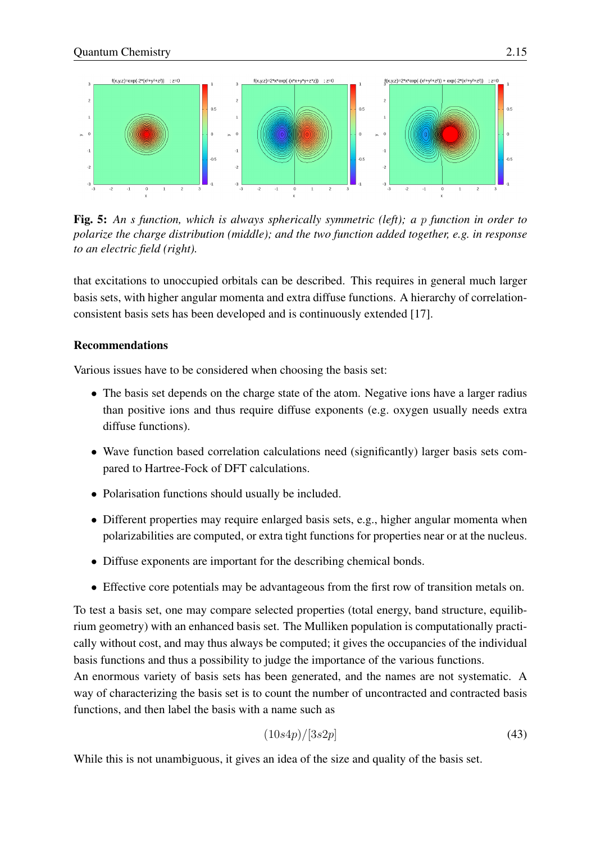

<span id="page-14-0"></span>Fig. 5: *An s function, which is always spherically symmetric (left); a* p *function in order to polarize the charge distribution (middle); and the two function added together, e.g. in response to an electric field (right).*

that excitations to unoccupied orbitals can be described. This requires in general much larger basis sets, with higher angular momenta and extra diffuse functions. A hierarchy of correlationconsistent basis sets has been developed and is continuously extended [\[17\]](#page-27-0).

### Recommendations

Various issues have to be considered when choosing the basis set:

- The basis set depends on the charge state of the atom. Negative ions have a larger radius than positive ions and thus require diffuse exponents (e.g. oxygen usually needs extra diffuse functions).
- Wave function based correlation calculations need (significantly) larger basis sets compared to Hartree-Fock of DFT calculations.
- Polarisation functions should usually be included.
- Different properties may require enlarged basis sets, e.g., higher angular momenta when polarizabilities are computed, or extra tight functions for properties near or at the nucleus.
- Diffuse exponents are important for the describing chemical bonds.
- Effective core potentials may be advantageous from the first row of transition metals on.

To test a basis set, one may compare selected properties (total energy, band structure, equilibrium geometry) with an enhanced basis set. The Mulliken population is computationally practically without cost, and may thus always be computed; it gives the occupancies of the individual basis functions and thus a possibility to judge the importance of the various functions.

An enormous variety of basis sets has been generated, and the names are not systematic. A way of characterizing the basis set is to count the number of uncontracted and contracted basis functions, and then label the basis with a name such as

$$
(10s4p)/[3s2p] \tag{43}
$$

While this is not unambiguous, it gives an idea of the size and quality of the basis set.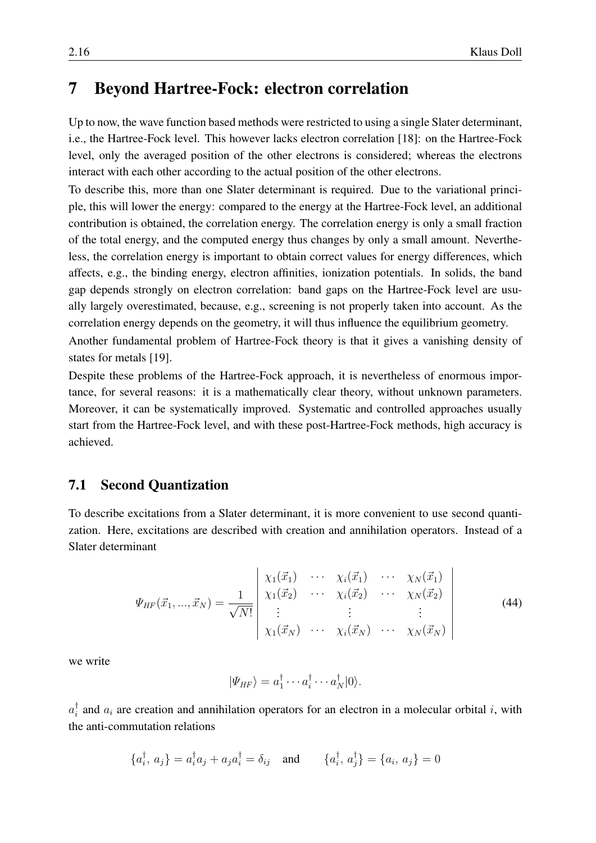## <span id="page-15-0"></span>7 Beyond Hartree-Fock: electron correlation

Up to now, the wave function based methods were restricted to using a single Slater determinant, i.e., the Hartree-Fock level. This however lacks electron correlation [\[18\]](#page-27-1): on the Hartree-Fock level, only the averaged position of the other electrons is considered; whereas the electrons interact with each other according to the actual position of the other electrons.

To describe this, more than one Slater determinant is required. Due to the variational principle, this will lower the energy: compared to the energy at the Hartree-Fock level, an additional contribution is obtained, the correlation energy. The correlation energy is only a small fraction of the total energy, and the computed energy thus changes by only a small amount. Nevertheless, the correlation energy is important to obtain correct values for energy differences, which affects, e.g., the binding energy, electron affinities, ionization potentials. In solids, the band gap depends strongly on electron correlation: band gaps on the Hartree-Fock level are usually largely overestimated, because, e.g., screening is not properly taken into account. As the correlation energy depends on the geometry, it will thus influence the equilibrium geometry.

Another fundamental problem of Hartree-Fock theory is that it gives a vanishing density of states for metals [\[19\]](#page-27-2).

Despite these problems of the Hartree-Fock approach, it is nevertheless of enormous importance, for several reasons: it is a mathematically clear theory, without unknown parameters. Moreover, it can be systematically improved. Systematic and controlled approaches usually start from the Hartree-Fock level, and with these post-Hartree-Fock methods, high accuracy is achieved.

### <span id="page-15-1"></span>7.1 Second Quantization

To describe excitations from a Slater determinant, it is more convenient to use second quantization. Here, excitations are described with creation and annihilation operators. Instead of a Slater determinant

$$
\Psi_{HF}(\vec{x}_1, ..., \vec{x}_N) = \frac{1}{\sqrt{N!}} \begin{vmatrix} \chi_1(\vec{x}_1) & \cdots & \chi_i(\vec{x}_1) & \cdots & \chi_N(\vec{x}_1) \\ \chi_1(\vec{x}_2) & \cdots & \chi_i(\vec{x}_2) & \cdots & \chi_N(\vec{x}_2) \\ \vdots & \vdots & \vdots & \vdots \\ \chi_1(\vec{x}_N) & \cdots & \chi_i(\vec{x}_N) & \cdots & \chi_N(\vec{x}_N) \end{vmatrix}
$$
\n(44)

we write

$$
|\Psi_{HF}\rangle = a_1^{\dagger} \cdots a_i^{\dagger} \cdots a_N^{\dagger} |0\rangle.
$$

 $a_i^{\dagger}$  $i<sub>i</sub>$  and  $a<sub>i</sub>$  are creation and annihilation operators for an electron in a molecular orbital i, with the anti-commutation relations

$$
\{a_i^{\dagger}, a_j\} = a_i^{\dagger} a_j + a_j a_i^{\dagger} = \delta_{ij} \text{ and } \{a_i^{\dagger}, a_j^{\dagger}\} = \{a_i, a_j\} = 0
$$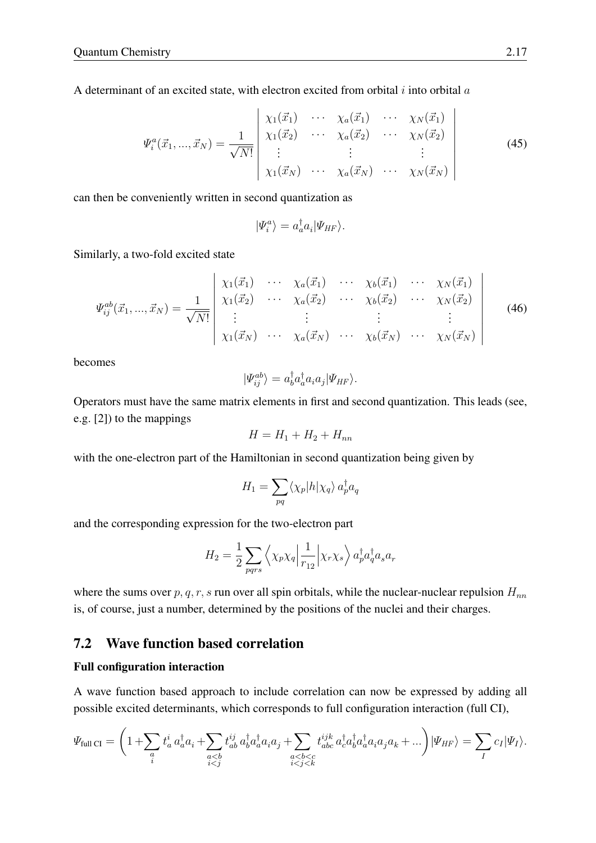A determinant of an excited state, with electron excited from orbital  $i$  into orbital  $a$ 

$$
\Psi_i^a(\vec{x}_1, ..., \vec{x}_N) = \frac{1}{\sqrt{N!}} \begin{vmatrix} \chi_1(\vec{x}_1) & \cdots & \chi_a(\vec{x}_1) & \cdots & \chi_N(\vec{x}_1) \\ \chi_1(\vec{x}_2) & \cdots & \chi_a(\vec{x}_2) & \cdots & \chi_N(\vec{x}_2) \\ \vdots & \vdots & \vdots & \vdots \\ \chi_1(\vec{x}_N) & \cdots & \chi_a(\vec{x}_N) & \cdots & \chi_N(\vec{x}_N) \end{vmatrix}
$$
\n(45)

can then be conveniently written in second quantization as

$$
|\Psi_i^a\rangle = a_a^\dagger a_i |\Psi_{HF}\rangle.
$$

Similarly, a two-fold excited state

$$
\Psi_{ij}^{ab}(\vec{x}_1,...,\vec{x}_N) = \frac{1}{\sqrt{N!}} \begin{vmatrix} \chi_1(\vec{x}_1) & \cdots & \chi_a(\vec{x}_1) & \cdots & \chi_b(\vec{x}_1) & \cdots & \chi_N(\vec{x}_1) \\ \chi_1(\vec{x}_2) & \cdots & \chi_a(\vec{x}_2) & \cdots & \chi_b(\vec{x}_2) & \cdots & \chi_N(\vec{x}_2) \\ \vdots & \vdots & \vdots & \vdots & \vdots \\ \chi_1(\vec{x}_N) & \cdots & \chi_a(\vec{x}_N) & \cdots & \chi_b(\vec{x}_N) & \cdots & \chi_N(\vec{x}_N) \end{vmatrix}
$$
(46)

becomes

$$
|\Psi_{ij}^{ab}\rangle = a_b^{\dagger} a_a^{\dagger} a_i a_j |\Psi_{HF}\rangle.
$$

Operators must have the same matrix elements in first and second quantization. This leads (see, e.g. [\[2\]](#page-26-7)) to the mappings

$$
H = H_1 + H_2 + H_{nn}
$$

with the one-electron part of the Hamiltonian in second quantization being given by

$$
H_1 = \sum_{pq} \langle \chi_p | h | \chi_q \rangle \, a_p^{\dagger} a_q
$$

and the corresponding expression for the two-electron part

$$
H_2 = \frac{1}{2} \sum_{pqrs} \left\langle \chi_p \chi_q \left| \frac{1}{r_{12}} \right| \chi_r \chi_s \right\rangle a_p^{\dagger} a_q^{\dagger} a_s a_r
$$

where the sums over  $p, q, r, s$  run over all spin orbitals, while the nuclear-nuclear repulsion  $H_{nn}$ is, of course, just a number, determined by the positions of the nuclei and their charges.

### <span id="page-16-0"></span>7.2 Wave function based correlation

#### Full configuration interaction

A wave function based approach to include correlation can now be expressed by adding all possible excited determinants, which corresponds to full configuration interaction (full CI),

$$
\Psi_{\text{full CI}} = \left(1 + \sum_{\substack{a \\ i}} t_a^i \, a_a^\dagger a_i + \sum_{\substack{a < b \\ i < j}} t_{ab}^{ij} \, a_b^\dagger a_a^\dagger a_i a_j + \sum_{\substack{a < b < c \\ i < j < k}} t_{abc}^{ijk} \, a_a^\dagger a_b^\dagger a_a^\dagger a_i a_j a_k + \dots \right) \left| \Psi_{HF} \right\rangle = \sum_{I} c_I \left| \Psi_I \right\rangle.
$$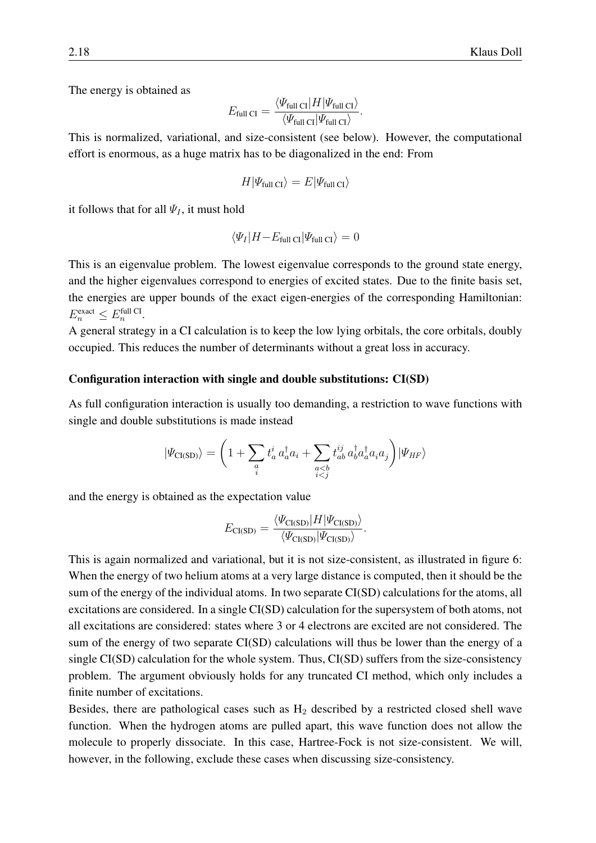The energy is obtained as

$$
E_{\text{full CI}} = \frac{\langle \Psi_{\text{full CI}} | H | \Psi_{\text{full CI}} \rangle}{\langle \Psi_{\text{full CI}} | \Psi_{\text{full CI}} \rangle}.
$$

This is normalized, variational, and size-consistent (see below). However, the computational effort is enormous, as a huge matrix has to be diagonalized in the end: From

$$
H|\varPsi_{\text{full CI}}\rangle = E|\varPsi_{\text{full CI}}\rangle
$$

it follows that for all  $\Psi_I$ , it must hold

$$
\langle \Psi_I | H - E_{\text{full CI}} | \Psi_{\text{full CI}} \rangle = 0
$$

This is an eigenvalue problem. The lowest eigenvalue corresponds to the ground state energy, and the higher eigenvalues correspond to energies of excited states. Due to the finite basis set, the energies are upper bounds of the exact eigen-energies of the corresponding Hamiltonian:  $E_n^{\text{exact}} \leq E_n^{\text{full CI}}.$ 

A general strategy in a CI calculation is to keep the low lying orbitals, the core orbitals, doubly occupied. This reduces the number of determinants without a great loss in accuracy.

#### Configuration interaction with single and double substitutions: CI(SD)

As full configuration interaction is usually too demanding, a restriction to wave functions with single and double substitutions is made instead

$$
|\varPsi_{\rm CI(SD)}\rangle=\bigg(1+\sum_{\substack{a\\i}}t_{a}^{i}\,a_{a}^{\dagger}a_{i}+\sum_{\substack{a
$$

and the energy is obtained as the expectation value

$$
E_{\text{CI}(\text{SD})} = \frac{\langle \Psi_{\text{CI}(\text{SD})} | H | \Psi_{\text{CI}(\text{SD})} \rangle}{\langle \Psi_{\text{CI}(\text{SD})} | \Psi_{\text{CI}(\text{SD})} \rangle}.
$$

This is again normalized and variational, but it is not size-consistent, as illustrated in figure [6:](#page-18-0) When the energy of two helium atoms at a very large distance is computed, then it should be the sum of the energy of the individual atoms. In two separate CI(SD) calculations for the atoms, all excitations are considered. In a single CI(SD) calculation for the supersystem of both atoms, not all excitations are considered: states where 3 or 4 electrons are excited are not considered. The sum of the energy of two separate CI(SD) calculations will thus be lower than the energy of a single CI(SD) calculation for the whole system. Thus, CI(SD) suffers from the size-consistency problem. The argument obviously holds for any truncated CI method, which only includes a finite number of excitations.

Besides, there are pathological cases such as  $H_2$  described by a restricted closed shell wave function. When the hydrogen atoms are pulled apart, this wave function does not allow the molecule to properly dissociate. In this case, Hartree-Fock is not size-consistent. We will, however, in the following, exclude these cases when discussing size-consistency.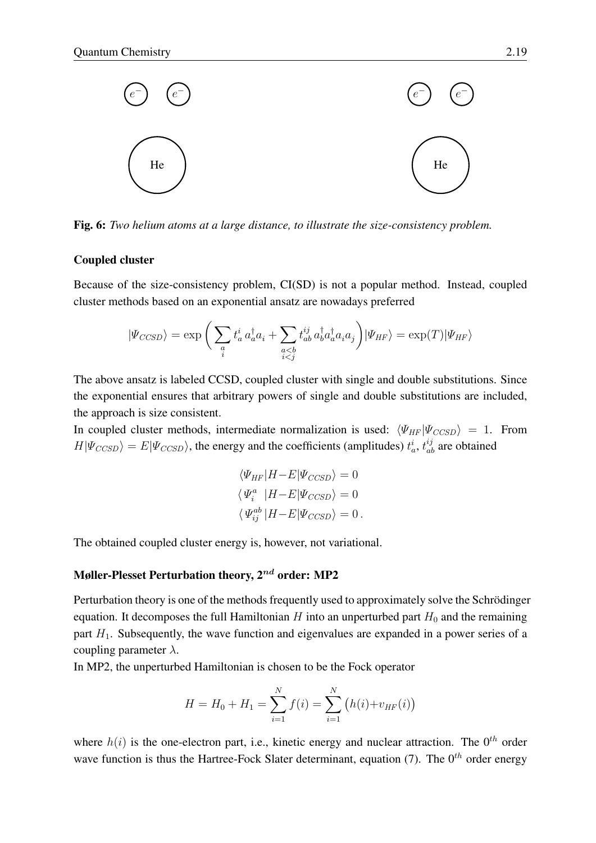

<span id="page-18-0"></span>Fig. 6: *Two helium atoms at a large distance, to illustrate the size-consistency problem.*

#### Coupled cluster

Because of the size-consistency problem, CI(SD) is not a popular method. Instead, coupled cluster methods based on an exponential ansatz are nowadays preferred

$$
|\Psi_{CCSD}\rangle = \exp\bigg(\sum_{\substack{a \\ i}} t_a^i \, a_a^\dagger a_i + \sum_{\substack{a < b \\ i < j}} t_{ab}^{ij} \, a_b^\dagger a_a^\dagger a_i a_j\bigg) |\Psi_{HF}\rangle = \exp(T) |\Psi_{HF}\rangle
$$

The above ansatz is labeled CCSD, coupled cluster with single and double substitutions. Since the exponential ensures that arbitrary powers of single and double substitutions are included, the approach is size consistent.

In coupled cluster methods, intermediate normalization is used:  $\langle \Psi_{HF} | \Psi_{CCSD} \rangle = 1$ . From  $H|\Psi_{CCSD}\rangle = E|\Psi_{CCSD}\rangle$ , the energy and the coefficients (amplitudes)  $t_a^i$ ,  $t_{ab}^{ij}$  are obtained

$$
\langle \Psi_{HF} | H - E | \Psi_{CCSD} \rangle = 0
$$
  

$$
\langle \Psi_i^a | H - E | \Psi_{CCSD} \rangle = 0
$$
  

$$
\langle \Psi_{ij}^{ab} | H - E | \Psi_{CCSD} \rangle = 0.
$$

The obtained coupled cluster energy is, however, not variational.

#### Møller-Plesset Perturbation theory,  $2^{nd}$  order: MP2

Perturbation theory is one of the methods frequently used to approximately solve the Schrödinger equation. It decomposes the full Hamiltonian H into an unperturbed part  $H_0$  and the remaining part  $H_1$ . Subsequently, the wave function and eigenvalues are expanded in a power series of a coupling parameter  $\lambda$ .

In MP2, the unperturbed Hamiltonian is chosen to be the Fock operator

$$
H = H_0 + H_1 = \sum_{i=1}^{N} f(i) = \sum_{i=1}^{N} (h(i) + v_{HF}(i))
$$

where  $h(i)$  is the one-electron part, i.e., kinetic energy and nuclear attraction. The  $0^{th}$  order wave function is thus the Hartree-Fock Slater determinant, equation [\(7\)](#page-4-3). The  $0^{th}$  order energy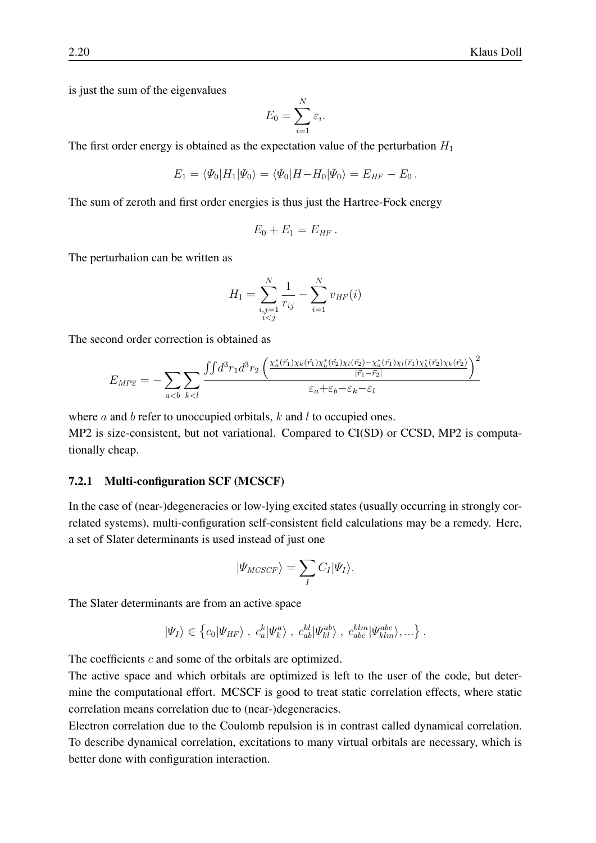is just the sum of the eigenvalues

$$
E_0 = \sum_{i=1}^N \varepsilon_i.
$$

The first order energy is obtained as the expectation value of the perturbation  $H_1$ 

$$
E_1 = \langle \Psi_0 | H_1 | \Psi_0 \rangle = \langle \Psi_0 | H - H_0 | \Psi_0 \rangle = E_{HF} - E_0.
$$

The sum of zeroth and first order energies is thus just the Hartree-Fock energy

$$
E_0+E_1=E_{HF}.
$$

The perturbation can be written as

$$
H_1 = \sum_{\substack{i,j=1 \ i
$$

The second order correction is obtained as

$$
E_{MP2} = -\sum_{a
$$

where  $a$  and  $b$  refer to unoccupied orbitals,  $k$  and  $l$  to occupied ones. MP2 is size-consistent, but not variational. Compared to CI(SD) or CCSD, MP2 is computationally cheap.

#### 7.2.1 Multi-configuration SCF (MCSCF)

In the case of (near-)degeneracies or low-lying excited states (usually occurring in strongly correlated systems), multi-configuration self-consistent field calculations may be a remedy. Here, a set of Slater determinants is used instead of just one

$$
|\Psi_{MCSCF}\rangle = \sum_{I} C_{I} |\Psi_{I}\rangle.
$$

The Slater determinants are from an active space

$$
|\Psi_I\rangle \in \left\{c_0|\Psi_{HF}\rangle \, , \, c_a^k|\Psi_k^a\rangle \, , \, c_{ab}^{kl}|\Psi_{kl}^{ab}\rangle \, , \, c_{abc}^{klm}|\Psi_{klm}^{abc}\rangle, \ldots\right\}.
$$

The coefficients c and some of the orbitals are optimized.

The active space and which orbitals are optimized is left to the user of the code, but determine the computational effort. MCSCF is good to treat static correlation effects, where static correlation means correlation due to (near-)degeneracies.

Electron correlation due to the Coulomb repulsion is in contrast called dynamical correlation. To describe dynamical correlation, excitations to many virtual orbitals are necessary, which is better done with configuration interaction.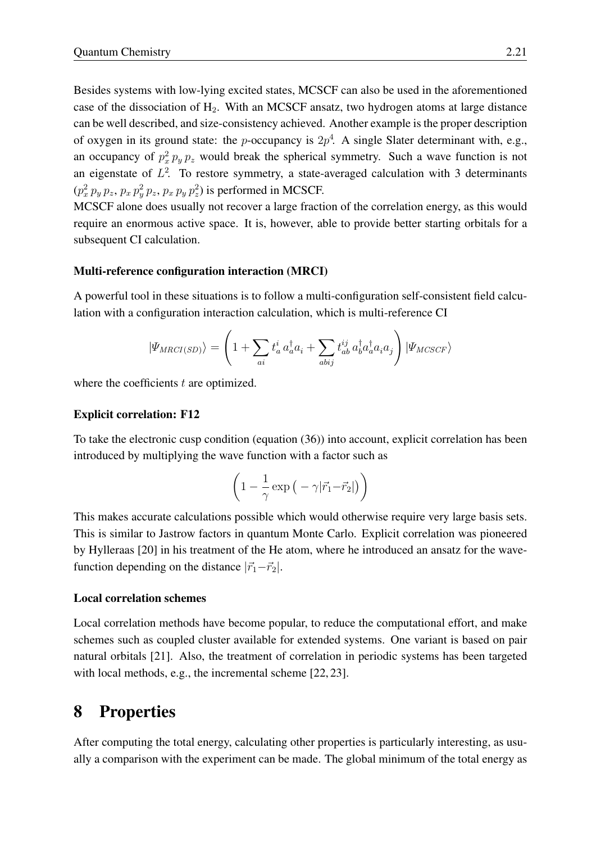Besides systems with low-lying excited states, MCSCF can also be used in the aforementioned case of the dissociation of  $H_2$ . With an MCSCF ansatz, two hydrogen atoms at large distance can be well described, and size-consistency achieved. Another example is the proper description of oxygen in its ground state: the *p*-occupancy is  $2p^4$ . A single Slater determinant with, e.g., an occupancy of  $p_x^2 p_y p_z$  would break the spherical symmetry. Such a wave function is not an eigenstate of  $L^2$ . To restore symmetry, a state-averaged calculation with 3 determinants  $(p_x^2 p_y p_z, p_x p_y^2 p_z, p_x p_y p_z^2)$  is performed in MCSCF.

MCSCF alone does usually not recover a large fraction of the correlation energy, as this would require an enormous active space. It is, however, able to provide better starting orbitals for a subsequent CI calculation.

#### Multi-reference configuration interaction (MRCI)

A powerful tool in these situations is to follow a multi-configuration self-consistent field calculation with a configuration interaction calculation, which is multi-reference CI

$$
|\Psi_{MRCI(SD)}\rangle = \left(1 + \sum_{ai} t_a^i a_a^\dagger a_i + \sum_{abij} t_{ab}^{ij} a_b^\dagger a_a^\dagger a_i a_j\right) |\Psi_{MCSCF}\rangle
$$

where the coefficients  $t$  are optimized.

#### Explicit correlation: F12

To take the electronic cusp condition (equation [\(36\)](#page-10-0)) into account, explicit correlation has been introduced by multiplying the wave function with a factor such as

$$
\left(1 - \frac{1}{\gamma} \exp\left(-\gamma |\vec{r}_1 - \vec{r}_2|\right)\right)
$$

This makes accurate calculations possible which would otherwise require very large basis sets. This is similar to Jastrow factors in quantum Monte Carlo. Explicit correlation was pioneered by Hylleraas [\[20\]](#page-27-3) in his treatment of the He atom, where he introduced an ansatz for the wavefunction depending on the distance  $|\vec{r}_1-\vec{r}_2|$ .

#### Local correlation schemes

Local correlation methods have become popular, to reduce the computational effort, and make schemes such as coupled cluster available for extended systems. One variant is based on pair natural orbitals [\[21\]](#page-27-4). Also, the treatment of correlation in periodic systems has been targeted with local methods, e.g., the incremental scheme [\[22,](#page-27-5) [23\]](#page-27-6).

## <span id="page-20-0"></span>8 Properties

After computing the total energy, calculating other properties is particularly interesting, as usually a comparison with the experiment can be made. The global minimum of the total energy as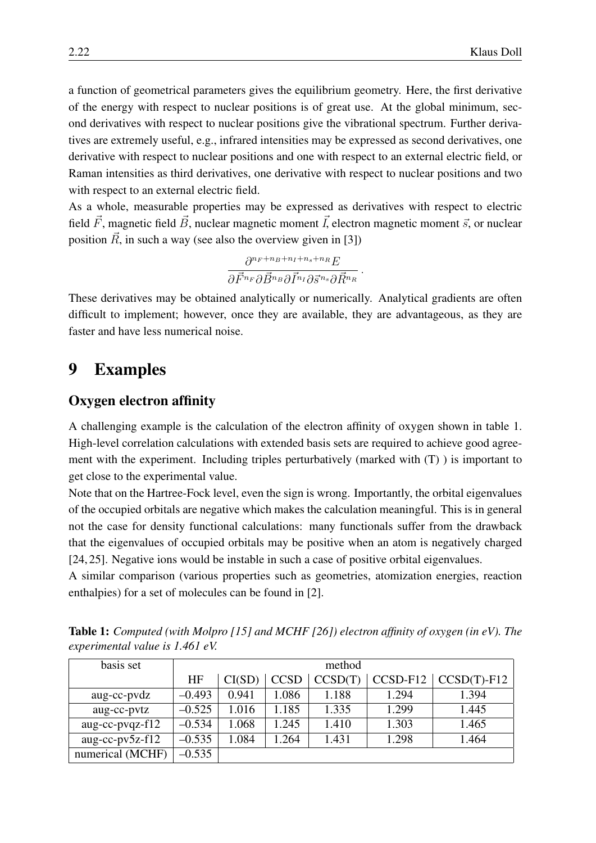a function of geometrical parameters gives the equilibrium geometry. Here, the first derivative of the energy with respect to nuclear positions is of great use. At the global minimum, second derivatives with respect to nuclear positions give the vibrational spectrum. Further derivatives are extremely useful, e.g., infrared intensities may be expressed as second derivatives, one derivative with respect to nuclear positions and one with respect to an external electric field, or Raman intensities as third derivatives, one derivative with respect to nuclear positions and two with respect to an external electric field.

As a whole, measurable properties may be expressed as derivatives with respect to electric field  $\vec{F}$ , magnetic field  $\vec{B}$ , nuclear magnetic moment  $\vec{I}$ , electron magnetic moment  $\vec{s}$ , or nuclear position  $\vec{R}$ , in such a way (see also the overview given in [\[3\]](#page-26-13))

$$
\frac{\partial^{n_F+n_B+n_I+n_s+n_R}E}{\partial \vec{F}^{n_F} \partial \vec{B}^{n_B} \partial \vec{I}^{n_I} \partial \vec{s}^{n_s} \partial \vec{R}^{n_R}}.
$$

These derivatives may be obtained analytically or numerically. Analytical gradients are often difficult to implement; however, once they are available, they are advantageous, as they are faster and have less numerical noise.

### <span id="page-21-0"></span>9 Examples

### Oxygen electron affinity

A challenging example is the calculation of the electron affinity of oxygen shown in table [1.](#page-21-1) High-level correlation calculations with extended basis sets are required to achieve good agreement with the experiment. Including triples perturbatively (marked with (T) ) is important to get close to the experimental value.

Note that on the Hartree-Fock level, even the sign is wrong. Importantly, the orbital eigenvalues of the occupied orbitals are negative which makes the calculation meaningful. This is in general not the case for density functional calculations: many functionals suffer from the drawback that the eigenvalues of occupied orbitals may be positive when an atom is negatively charged [\[24,](#page-27-7) [25\]](#page-27-8). Negative ions would be instable in such a case of positive orbital eigenvalues.

A similar comparison (various properties such as geometries, atomization energies, reaction enthalpies) for a set of molecules can be found in [\[2\]](#page-26-7).

| basis set          | method    |        |             |         |       |                          |
|--------------------|-----------|--------|-------------|---------|-------|--------------------------|
|                    | <b>HF</b> | CI(SD) | <b>CCSD</b> | CCSD(T) |       | $CCSD-F12$ $CCSD(T)-F12$ |
| aug-cc-pvdz        | $-0.493$  | 0.941  | 1.086       | 1.188   | 1.294 | 1.394                    |
| aug-cc-pvtz        | $-0.525$  | 1.016  | 1.185       | 1.335   | 1.299 | 1.445                    |
| aug-cc-pvqz- $f12$ | $-0.534$  | 1.068  | 1.245       | 1.410   | 1.303 | 1.465                    |
| aug-cc- $pv5z-f12$ | $-0.535$  | 1.084  | 1.264       | 1.431   | 1.298 | 1.464                    |
| numerical (MCHF)   | $-0.535$  |        |             |         |       |                          |

<span id="page-21-1"></span>Table 1: *Computed (with Molpro [\[15\]](#page-26-11) and MCHF [\[26\]](#page-27-9)) electron affinity of oxygen (in eV). The experimental value is 1.461 eV.*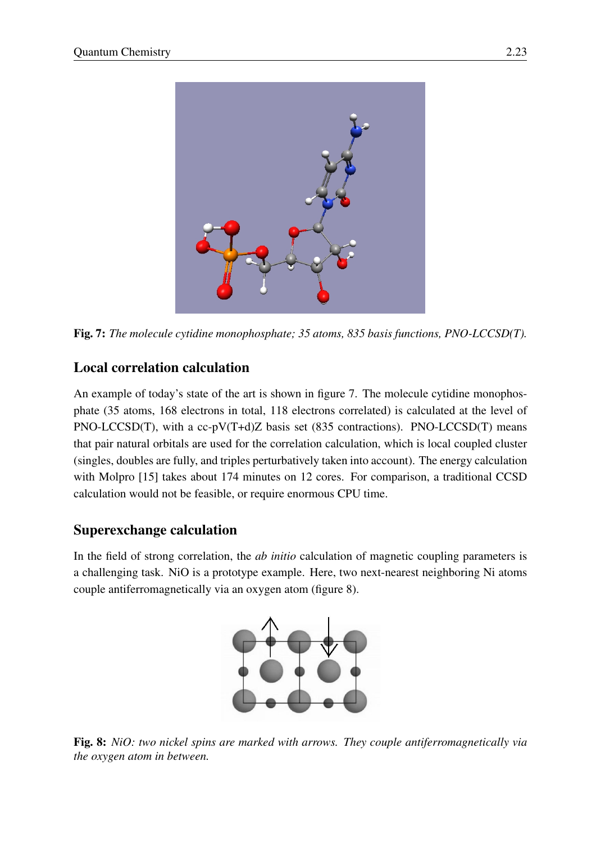

Fig. 7: *The molecule cytidine monophosphate; 35 atoms, 835 basis functions, PNO-LCCSD(T).*

## <span id="page-22-0"></span>Local correlation calculation

An example of today's state of the art is shown in figure [7.](#page-22-0) The molecule cytidine monophosphate (35 atoms, 168 electrons in total, 118 electrons correlated) is calculated at the level of PNO-LCCSD(T), with a cc-pV(T+d)Z basis set (835 contractions). PNO-LCCSD(T) means that pair natural orbitals are used for the correlation calculation, which is local coupled cluster (singles, doubles are fully, and triples perturbatively taken into account). The energy calculation with Molpro [\[15\]](#page-26-11) takes about 174 minutes on 12 cores. For comparison, a traditional CCSD calculation would not be feasible, or require enormous CPU time.

### Superexchange calculation

In the field of strong correlation, the *ab initio* calculation of magnetic coupling parameters is a challenging task. NiO is a prototype example. Here, two next-nearest neighboring Ni atoms couple antiferromagnetically via an oxygen atom (figure [8\)](#page-22-1).



<span id="page-22-1"></span>Fig. 8: *NiO: two nickel spins are marked with arrows. They couple antiferromagnetically via the oxygen atom in between.*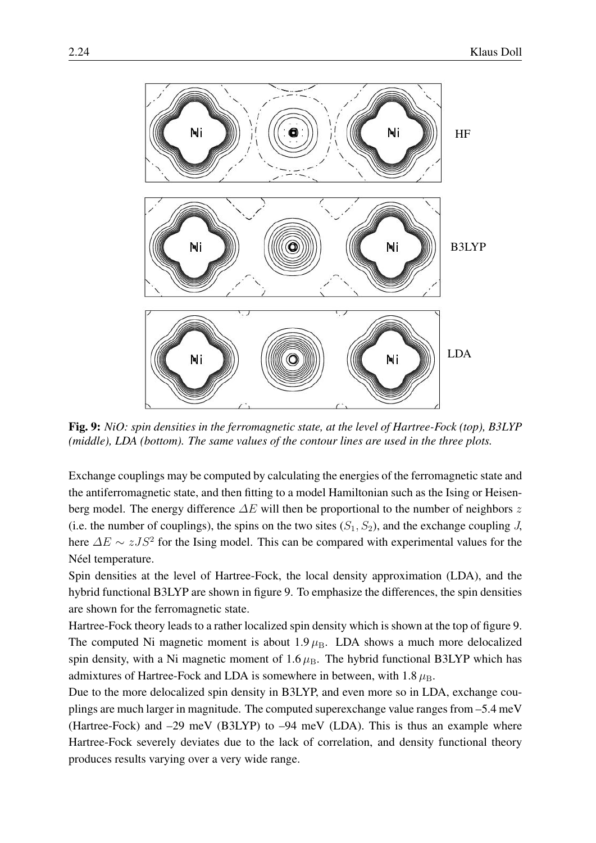

<span id="page-23-0"></span>Fig. 9: *NiO: spin densities in the ferromagnetic state, at the level of Hartree-Fock (top), B3LYP (middle), LDA (bottom). The same values of the contour lines are used in the three plots.*

Exchange couplings may be computed by calculating the energies of the ferromagnetic state and the antiferromagnetic state, and then fitting to a model Hamiltonian such as the Ising or Heisenberg model. The energy difference  $\Delta E$  will then be proportional to the number of neighbors z (i.e. the number of couplings), the spins on the two sites  $(S_1, S_2)$ , and the exchange coupling J, here  $\Delta E \sim zJS^2$  for the Ising model. This can be compared with experimental values for the Néel temperature.

Spin densities at the level of Hartree-Fock, the local density approximation (LDA), and the hybrid functional B3LYP are shown in figure [9.](#page-23-0) To emphasize the differences, the spin densities are shown for the ferromagnetic state.

Hartree-Fock theory leads to a rather localized spin density which is shown at the top of figure [9.](#page-23-0) The computed Ni magnetic moment is about  $1.9 \mu_{\rm B}$ . LDA shows a much more delocalized spin density, with a Ni magnetic moment of  $1.6 \mu_B$ . The hybrid functional B3LYP which has admixtures of Hartree-Fock and LDA is somewhere in between, with  $1.8 \mu_{\rm B}$ .

Due to the more delocalized spin density in B3LYP, and even more so in LDA, exchange couplings are much larger in magnitude. The computed superexchange value ranges from –5.4 meV (Hartree-Fock) and –29 meV (B3LYP) to –94 meV (LDA). This is thus an example where Hartree-Fock severely deviates due to the lack of correlation, and density functional theory produces results varying over a very wide range.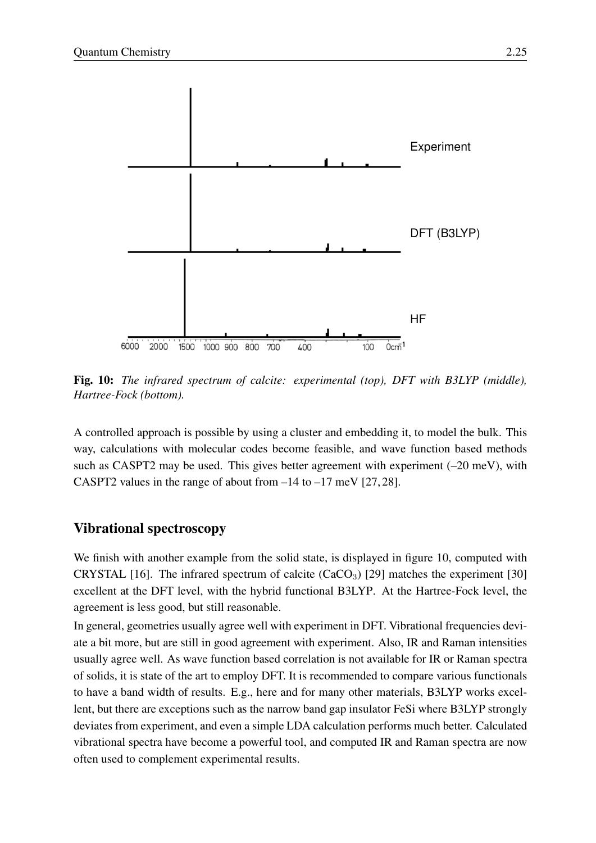

<span id="page-24-0"></span>Fig. 10: *The infrared spectrum of calcite: experimental (top), DFT with B3LYP (middle), Hartree-Fock (bottom).*

A controlled approach is possible by using a cluster and embedding it, to model the bulk. This way, calculations with molecular codes become feasible, and wave function based methods such as CASPT2 may be used. This gives better agreement with experiment  $(-20 \text{ meV})$ , with CASPT2 values in the range of about from  $-14$  to  $-17$  meV [\[27,](#page-27-10) [28\]](#page-27-11).

### Vibrational spectroscopy

We finish with another example from the solid state, is displayed in figure [10,](#page-24-0) computed with CRYSTAL [\[16\]](#page-26-12). The infrared spectrum of calcite  $(CaCO<sub>3</sub>)$  [\[29\]](#page-27-12) matches the experiment [\[30\]](#page-27-13) excellent at the DFT level, with the hybrid functional B3LYP. At the Hartree-Fock level, the agreement is less good, but still reasonable.

In general, geometries usually agree well with experiment in DFT. Vibrational frequencies deviate a bit more, but are still in good agreement with experiment. Also, IR and Raman intensities usually agree well. As wave function based correlation is not available for IR or Raman spectra of solids, it is state of the art to employ DFT. It is recommended to compare various functionals to have a band width of results. E.g., here and for many other materials, B3LYP works excellent, but there are exceptions such as the narrow band gap insulator FeSi where B3LYP strongly deviates from experiment, and even a simple LDA calculation performs much better. Calculated vibrational spectra have become a powerful tool, and computed IR and Raman spectra are now often used to complement experimental results.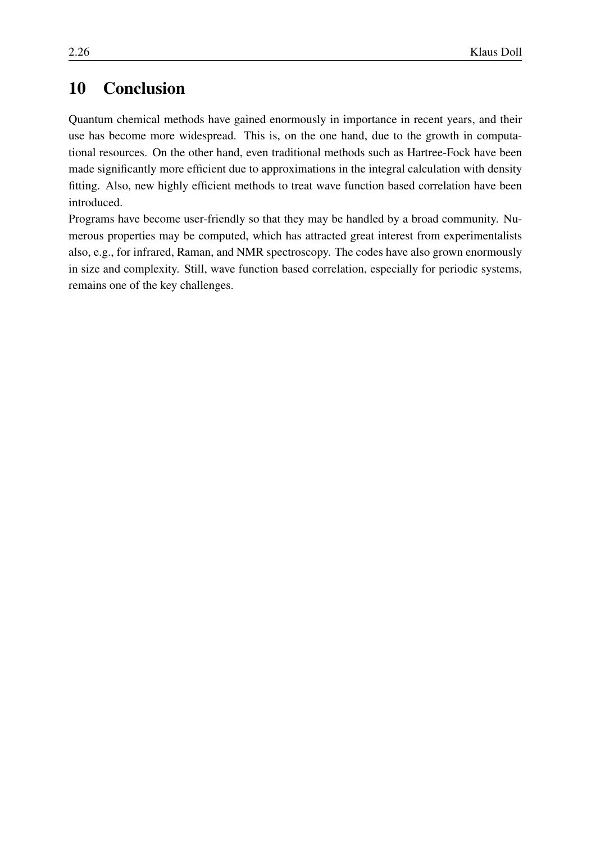## <span id="page-25-0"></span>10 Conclusion

Quantum chemical methods have gained enormously in importance in recent years, and their use has become more widespread. This is, on the one hand, due to the growth in computational resources. On the other hand, even traditional methods such as Hartree-Fock have been made significantly more efficient due to approximations in the integral calculation with density fitting. Also, new highly efficient methods to treat wave function based correlation have been introduced.

Programs have become user-friendly so that they may be handled by a broad community. Numerous properties may be computed, which has attracted great interest from experimentalists also, e.g., for infrared, Raman, and NMR spectroscopy. The codes have also grown enormously in size and complexity. Still, wave function based correlation, especially for periodic systems, remains one of the key challenges.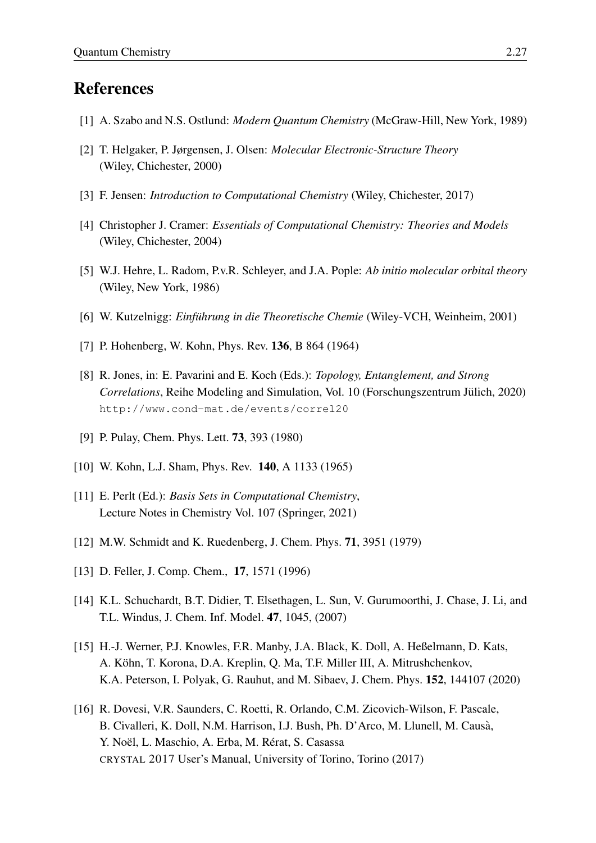## References

- <span id="page-26-0"></span>[1] A. Szabo and N.S. Ostlund: *Modern Quantum Chemistry* (McGraw-Hill, New York, 1989)
- <span id="page-26-7"></span>[2] T. Helgaker, P. Jørgensen, J. Olsen: *Molecular Electronic-Structure Theory* (Wiley, Chichester, 2000)
- <span id="page-26-13"></span>[3] F. Jensen: *Introduction to Computational Chemistry* (Wiley, Chichester, 2017)
- [4] Christopher J. Cramer: *Essentials of Computational Chemistry: Theories and Models* (Wiley, Chichester, 2004)
- [5] W.J. Hehre, L. Radom, P.v.R. Schleyer, and J.A. Pople: *Ab initio molecular orbital theory* (Wiley, New York, 1986)
- <span id="page-26-1"></span>[6] W. Kutzelnigg: *Einfuhrung in die Theoretische Chemie ¨* (Wiley-VCH, Weinheim, 2001)
- <span id="page-26-2"></span>[7] P. Hohenberg, W. Kohn, Phys. Rev. **136**, B 864 (1964)
- <span id="page-26-3"></span>[8] R. Jones, in: E. Pavarini and E. Koch (Eds.): *Topology, Entanglement, and Strong Correlations*, Reihe Modeling and Simulation, Vol. 10 (Forschungszentrum Jülich, 2020) <http://www.cond-mat.de/events/correl20>
- <span id="page-26-4"></span>[9] P. Pulay, Chem. Phys. Lett. 73, 393 (1980)
- <span id="page-26-5"></span>[10] W. Kohn, L.J. Sham, Phys. Rev. **140**, A 1133 (1965)
- <span id="page-26-6"></span>[11] E. Perlt (Ed.): *Basis Sets in Computational Chemistry*, Lecture Notes in Chemistry Vol. 107 (Springer, 2021)
- <span id="page-26-8"></span>[12] M.W. Schmidt and K. Ruedenberg, J. Chem. Phys. 71, 3951 (1979)
- <span id="page-26-9"></span>[13] D. Feller, J. Comp. Chem., **17**, 1571 (1996)
- <span id="page-26-10"></span>[14] K.L. Schuchardt, B.T. Didier, T. Elsethagen, L. Sun, V. Gurumoorthi, J. Chase, J. Li, and T.L. Windus, J. Chem. Inf. Model. 47, 1045, (2007)
- <span id="page-26-11"></span>[15] H.-J. Werner, P.J. Knowles, F.R. Manby, J.A. Black, K. Doll, A. Heßelmann, D. Kats, A. Kohn, T. Korona, D.A. Kreplin, Q. Ma, T.F. Miller III, A. Mitrushchenkov, ¨ K.A. Peterson, I. Polyak, G. Rauhut, and M. Sibaev, J. Chem. Phys. 152, 144107 (2020)
- <span id="page-26-12"></span>[16] R. Dovesi, V.R. Saunders, C. Roetti, R. Orlando, C.M. Zicovich-Wilson, F. Pascale, B. Civalleri, K. Doll, N.M. Harrison, I.J. Bush, Ph. D'Arco, M. Llunell, M. Causa,` Y. Noël, L. Maschio, A. Erba, M. Rérat, S. Casassa CRYSTAL 2017 User's Manual, University of Torino, Torino (2017)